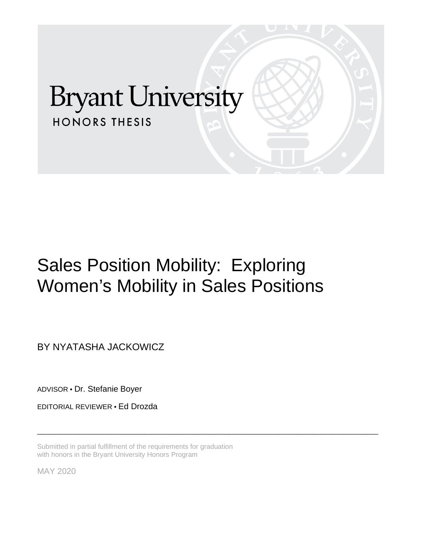# **Bryant University HONORS THESIS**

## Sales Position Mobility: Exploring Women's Mobility in Sales Positions

\_\_\_\_\_\_\_\_\_\_\_\_\_\_\_\_\_\_\_\_\_\_\_\_\_\_\_\_\_\_\_\_\_\_\_\_\_\_\_\_\_\_\_\_\_\_\_\_\_\_\_\_\_\_\_\_\_\_\_\_\_\_\_\_\_\_\_\_\_\_\_\_\_\_\_\_\_\_\_\_\_\_\_\_\_\_\_\_\_

BY NYATASHA JACKOWICZ

ADVISOR • Dr. Stefanie Boyer

EDITORIAL REVIEWER • Ed Drozda

Submitted in partial fulfillment of the requirements for graduation with honors in the Bryant University Honors Program

MAY 2020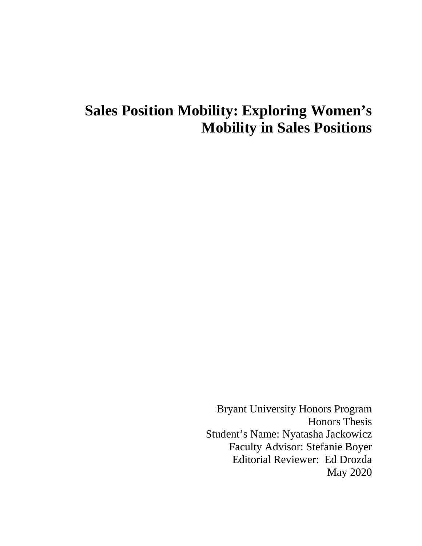### **Sales Position Mobility: Exploring Women's Mobility in Sales Positions**

Bryant University Honors Program Honors Thesis Student's Name: Nyatasha Jackowicz Faculty Advisor: Stefanie Boyer Editorial Reviewer: Ed Drozda May 2020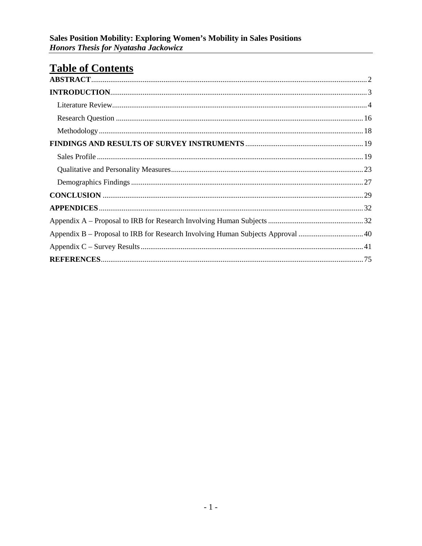### **Table of Contents**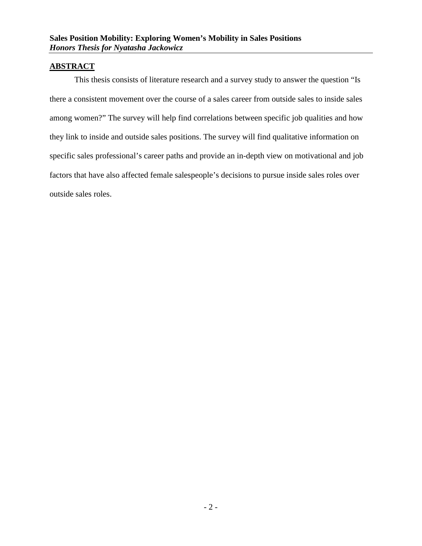#### <span id="page-3-0"></span>**ABSTRACT**

This thesis consists of literature research and a survey study to answer the question "Is there a consistent movement over the course of a sales career from outside sales to inside sales among women?" The survey will help find correlations between specific job qualities and how they link to inside and outside sales positions. The survey will find qualitative information on specific sales professional's career paths and provide an in-depth view on motivational and job factors that have also affected female salespeople's decisions to pursue inside sales roles over outside sales roles.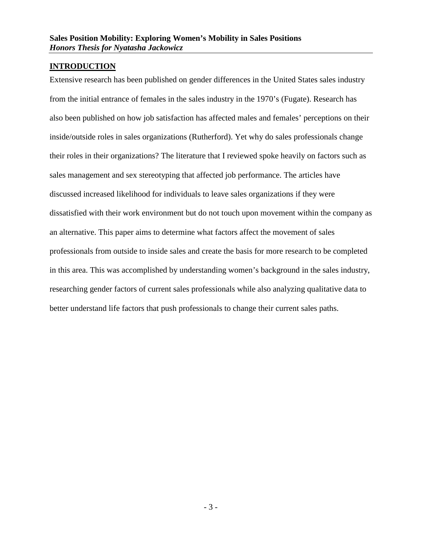#### <span id="page-4-0"></span>**INTRODUCTION**

Extensive research has been published on gender differences in the United States sales industry from the initial entrance of females in the sales industry in the 1970's (Fugate). Research has also been published on how job satisfaction has affected males and females' perceptions on their inside/outside roles in sales organizations (Rutherford). Yet why do sales professionals change their roles in their organizations? The literature that I reviewed spoke heavily on factors such as sales management and sex stereotyping that affected job performance. The articles have discussed increased likelihood for individuals to leave sales organizations if they were dissatisfied with their work environment but do not touch upon movement within the company as an alternative. This paper aims to determine what factors affect the movement of sales professionals from outside to inside sales and create the basis for more research to be completed in this area. This was accomplished by understanding women's background in the sales industry, researching gender factors of current sales professionals while also analyzing qualitative data to better understand life factors that push professionals to change their current sales paths.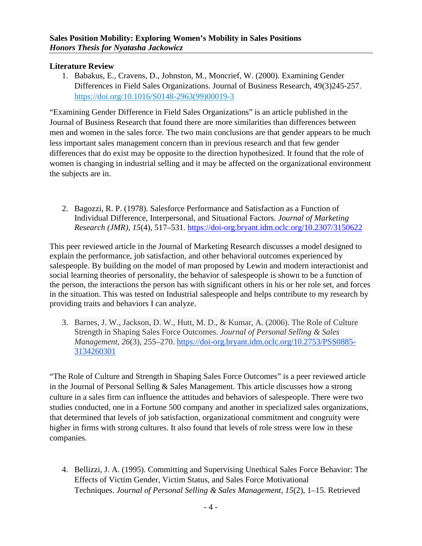#### <span id="page-5-0"></span>**Literature Review**

1. Babakus, E., Cravens, D., Johnston, M., Moncrief, W. (2000). Examining Gender Differences in Field Sales Organizations. Journal of Business Research, 49(3)245-257. [https://doi.org/10.1016/S0148-2963\(99\)00019-3](https://doi-org.bryant.idm.oclc.org/10.1016/S0148-2963(99)00019-3)

"Examining Gender Difference in Field Sales Organizations" is an article published in the Journal of Business Research that found there are more similarities than differences between men and women in the sales force. The two main conclusions are that gender appears to be much less important sales management concern than in previous research and that few gender differences that do exist may be opposite to the direction hypothesized. It found that the role of women is changing in industrial selling and it may be affected on the organizational environment the subjects are in.

2. Bagozzi, R. P. (1978). Salesforce Performance and Satisfaction as a Function of Individual Difference, Interpersonal, and Situational Factors. *Journal of Marketing Research (JMR)*, *15*(4), 517–531.<https://doi-org.bryant.idm.oclc.org/10.2307/3150622>

This peer reviewed article in the Journal of Marketing Research discusses a model designed to explain the performance, job satisfaction, and other behavioral outcomes experienced by salespeople. By building on the model of man proposed by Lewin and modern interactionist and social learning theories of personality, the behavior of salespeople is shown to be a function of the person, the interactions the person has with significant others in his or her role set, and forces in the situation. This was tested on Industrial salespeople and helps contribute to my research by providing traits and behaviors I can analyze.

3. Barnes, J. W., Jackson, D. W., Hutt, M. D., & Kumar, A. (2006). The Role of Culture Strength in Shaping Sales Force Outcomes. *Journal of Personal Selling & Sales Management*, *26*(3), 255–270. [https://doi-org.bryant.idm.oclc.org/10.2753/PSS0885-](https://doi-org.bryant.idm.oclc.org/10.2753/PSS0885-3134260301) [3134260301](https://doi-org.bryant.idm.oclc.org/10.2753/PSS0885-3134260301)

"The Role of Culture and Strength in Shaping Sales Force Outcomes" is a peer reviewed article in the Journal of Personal Selling & Sales Management. This article discusses how a strong culture in a sales firm can influence the attitudes and behaviors of salespeople. There were two studies conducted, one in a Fortune 500 company and another in specialized sales organizations, that determined that levels of job satisfaction, organizational commitment and congruity were higher in firms with strong cultures. It also found that levels of role stress were low in these companies.

4. Bellizzi, J. A. (1995). Committing and Supervising Unethical Sales Force Behavior: The Effects of Victim Gender, Victim Status, and Sales Force Motivational Techniques. *Journal of Personal Selling & Sales Management*, *15*(2), 1–15. Retrieved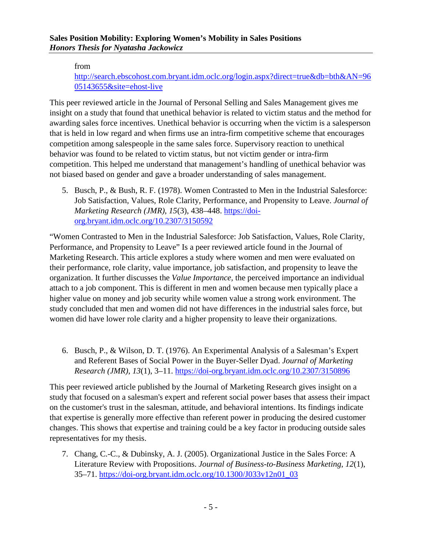#### from

[http://search.ebscohost.com.bryant.idm.oclc.org/login.aspx?direct=true&db=bth&AN=96](http://search.ebscohost.com.bryant.idm.oclc.org/login.aspx?direct=true&db=bth&AN=9605143655&site=ehost-live) [05143655&site=ehost-live](http://search.ebscohost.com.bryant.idm.oclc.org/login.aspx?direct=true&db=bth&AN=9605143655&site=ehost-live)

This peer reviewed article in the Journal of Personal Selling and Sales Management gives me insight on a study that found that unethical behavior is related to victim status and the method for awarding sales force incentives. Unethical behavior is occurring when the victim is a salesperson that is held in low regard and when firms use an intra-firm competitive scheme that encourages competition among salespeople in the same sales force. Supervisory reaction to unethical behavior was found to be related to victim status, but not victim gender or intra-firm competition. This helped me understand that management's handling of unethical behavior was not biased based on gender and gave a broader understanding of sales management.

5. Busch, P., & Bush, R. F. (1978). Women Contrasted to Men in the Industrial Salesforce: Job Satisfaction, Values, Role Clarity, Performance, and Propensity to Leave. *Journal of Marketing Research (JMR)*, *15*(3), 438–448. [https://doi](https://doi-org.bryant.idm.oclc.org/10.2307/3150592)[org.bryant.idm.oclc.org/10.2307/3150592](https://doi-org.bryant.idm.oclc.org/10.2307/3150592)

"Women Contrasted to Men in the Industrial Salesforce: Job Satisfaction, Values, Role Clarity, Performance, and Propensity to Leave" Is a peer reviewed article found in the Journal of Marketing Research. This article explores a study where women and men were evaluated on their performance, role clarity, value importance, job satisfaction, and propensity to leave the organization. It further discusses the *Value Importance,* the perceived importance an individual attach to a job component. This is different in men and women because men typically place a higher value on money and job security while women value a strong work environment. The study concluded that men and women did not have differences in the industrial sales force, but women did have lower role clarity and a higher propensity to leave their organizations.

6. Busch, P., & Wilson, D. T. (1976). An Experimental Analysis of a Salesman's Expert and Referent Bases of Social Power in the Buyer-Seller Dyad. *Journal of Marketing Research (JMR)*, *13*(1), 3–11.<https://doi-org.bryant.idm.oclc.org/10.2307/3150896>

This peer reviewed article published by the Journal of Marketing Research gives insight on a study that focused on a salesman's expert and referent social power bases that assess their impact on the customer's trust in the salesman, attitude, and behavioral intentions. Its findings indicate that expertise is generally more effective than referent power in producing the desired customer changes. This shows that expertise and training could be a key factor in producing outside sales representatives for my thesis.

7. Chang, C.-C., & Dubinsky, A. J. (2005). Organizational Justice in the Sales Force: A Literature Review with Propositions. *Journal of Business-to-Business Marketing*, *12*(1), 35–71. [https://doi-org.bryant.idm.oclc.org/10.1300/J033v12n01\\_03](https://doi-org.bryant.idm.oclc.org/10.1300/J033v12n01_03)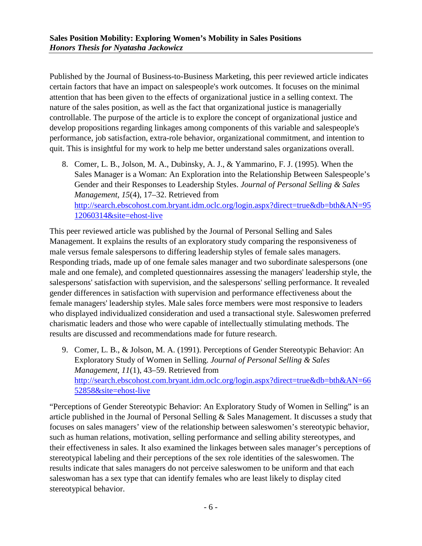Published by the Journal of Business-to-Business Marketing, this peer reviewed article indicates certain factors that have an impact on salespeople's work outcomes. It focuses on the minimal attention that has been given to the effects of organizational justice in a selling context. The nature of the sales position, as well as the fact that organizational justice is managerially controllable. The purpose of the article is to explore the concept of organizational justice and develop propositions regarding linkages among components of this variable and salespeople's performance, job satisfaction, extra-role behavior, organizational commitment, and intention to quit. This is insightful for my work to help me better understand sales organizations overall.

8. Comer, L. B., Jolson, M. A., Dubinsky, A. J., & Yammarino, F. J. (1995). When the Sales Manager is a Woman: An Exploration into the Relationship Between Salespeople's Gender and their Responses to Leadership Styles. *Journal of Personal Selling & Sales Management*, *15*(4), 17–32. Retrieved from [http://search.ebscohost.com.bryant.idm.oclc.org/login.aspx?direct=true&db=bth&AN=95](http://search.ebscohost.com.bryant.idm.oclc.org/login.aspx?direct=true&db=bth&AN=9512060314&site=ehost-live) [12060314&site=ehost-live](http://search.ebscohost.com.bryant.idm.oclc.org/login.aspx?direct=true&db=bth&AN=9512060314&site=ehost-live)

This peer reviewed article was published by the Journal of Personal Selling and Sales Management. It explains the results of an exploratory study comparing the responsiveness of male versus female salespersons to differing leadership styles of female sales managers. Responding triads, made up of one female sales manager and two subordinate salespersons (one male and one female), and completed questionnaires assessing the managers' leadership style, the salespersons' satisfaction with supervision, and the salespersons' selling performance. It revealed gender differences in satisfaction with supervision and performance effectiveness about the female managers' leadership styles. Male sales force members were most responsive to leaders who displayed individualized consideration and used a transactional style. Saleswomen preferred charismatic leaders and those who were capable of intellectually stimulating methods. The results are discussed and recommendations made for future research.

9. Comer, L. B., & Jolson, M. A. (1991). Perceptions of Gender Stereotypic Behavior: An Exploratory Study of Women in Selling. *Journal of Personal Selling & Sales Management*, *11*(1), 43–59. Retrieved from [http://search.ebscohost.com.bryant.idm.oclc.org/login.aspx?direct=true&db=bth&AN=66](http://search.ebscohost.com.bryant.idm.oclc.org/login.aspx?direct=true&db=bth&AN=6652858&site=ehost-live) [52858&site=ehost-live](http://search.ebscohost.com.bryant.idm.oclc.org/login.aspx?direct=true&db=bth&AN=6652858&site=ehost-live)

"Perceptions of Gender Stereotypic Behavior: An Exploratory Study of Women in Selling" is an article published in the Journal of Personal Selling & Sales Management. It discusses a study that focuses on sales managers' view of the relationship between saleswomen's stereotypic behavior, such as human relations, motivation, selling performance and selling ability stereotypes, and their effectiveness in sales. It also examined the linkages between sales manager's perceptions of stereotypical labeling and their perceptions of the sex role identities of the saleswomen. The results indicate that sales managers do not perceive saleswomen to be uniform and that each saleswoman has a sex type that can identify females who are least likely to display cited stereotypical behavior.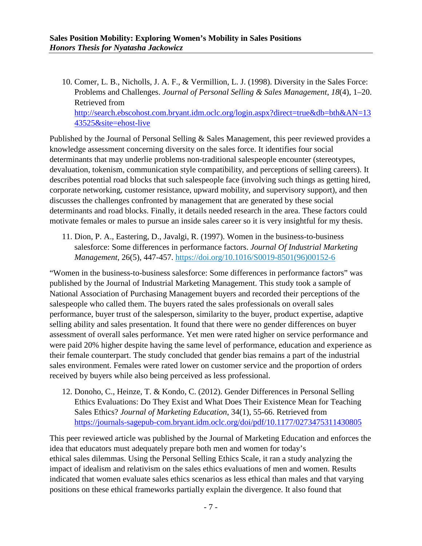10. Comer, L. B., Nicholls, J. A. F., & Vermillion, L. J. (1998). Diversity in the Sales Force: Problems and Challenges. *Journal of Personal Selling & Sales Management*, *18*(4), 1–20. Retrieved from [http://search.ebscohost.com.bryant.idm.oclc.org/login.aspx?direct=true&db=bth&AN=13](http://search.ebscohost.com.bryant.idm.oclc.org/login.aspx?direct=true&db=bth&AN=1343525&site=ehost-live) [43525&site=ehost-live](http://search.ebscohost.com.bryant.idm.oclc.org/login.aspx?direct=true&db=bth&AN=1343525&site=ehost-live)

Published by the Journal of Personal Selling & Sales Management, this peer reviewed provides a knowledge assessment concerning diversity on the sales force. It identifies four social determinants that may underlie problems non-traditional salespeople encounter (stereotypes, devaluation, tokenism, communication style compatibility, and perceptions of selling careers). It describes potential road blocks that such salespeople face (involving such things as getting hired, corporate networking, customer resistance, upward mobility, and supervisory support), and then discusses the challenges confronted by management that are generated by these social determinants and road blocks. Finally, it details needed research in the area. These factors could motivate females or males to pursue an inside sales career so it is very insightful for my thesis.

11. Dion, P. A., Eastering, D., Javalgi, R. (1997). Women in the business-to-business salesforce: Some differences in performance factors. *Journal Of Industrial Marketing Management*, 26(5), 447-457. [https://doi.org/10.1016/S0019-8501\(96\)00152-6](https://doi-org.bryant.idm.oclc.org/10.1016/S0019-8501(96)00152-6)

"Women in the business-to-business salesforce: Some differences in performance factors" was published by the Journal of Industrial Marketing Management. This study took a sample of National Association of Purchasing Management buyers and recorded their perceptions of the salespeople who called them. The buyers rated the sales professionals on overall sales performance, buyer trust of the salesperson, similarity to the buyer, product expertise, adaptive selling ability and sales presentation. It found that there were no gender differences on buyer assessment of overall sales performance. Yet men were rated higher on service performance and were paid 20% higher despite having the same level of performance, education and experience as their female counterpart. The study concluded that gender bias remains a part of the industrial sales environment. Females were rated lower on customer service and the proportion of orders received by buyers while also being perceived as less professional.

12. Donoho, C., Heinze, T. & Kondo, C. (2012). Gender Differences in Personal Selling Ethics Evaluations: Do They Exist and What Does Their Existence Mean for Teaching Sales Ethics? *Journal of Marketing Education*, 34(1), 55-66. Retrieved from <https://journals-sagepub-com.bryant.idm.oclc.org/doi/pdf/10.1177/0273475311430805>

This peer reviewed article was published by the Journal of Marketing Education and enforces the idea that educators must adequately prepare both men and women for today's ethical sales dilemmas. Using the Personal Selling Ethics Scale, it ran a study analyzing the impact of idealism and relativism on the sales ethics evaluations of men and women. Results indicated that women evaluate sales ethics scenarios as less ethical than males and that varying positions on these ethical frameworks partially explain the divergence. It also found that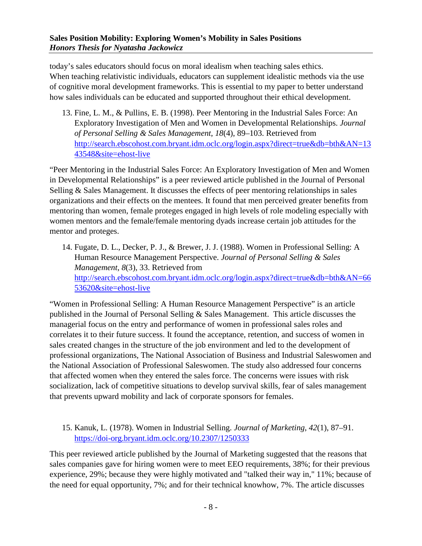today's sales educators should focus on moral idealism when teaching sales ethics. When teaching relativistic individuals, educators can supplement idealistic methods via the use of cognitive moral development frameworks. This is essential to my paper to better understand how sales individuals can be educated and supported throughout their ethical development.

13. Fine, L. M., & Pullins, E. B. (1998). Peer Mentoring in the Industrial Sales Force: An Exploratory Investigation of Men and Women in Developmental Relationships. *Journal of Personal Selling & Sales Management*, *18*(4), 89–103. Retrieved from [http://search.ebscohost.com.bryant.idm.oclc.org/login.aspx?direct=true&db=bth&AN=13](http://search.ebscohost.com.bryant.idm.oclc.org/login.aspx?direct=true&db=bth&AN=1343548&site=ehost-live) [43548&site=ehost-live](http://search.ebscohost.com.bryant.idm.oclc.org/login.aspx?direct=true&db=bth&AN=1343548&site=ehost-live)

"Peer Mentoring in the Industrial Sales Force: An Exploratory Investigation of Men and Women in Developmental Relationships" is a peer reviewed article published in the Journal of Personal Selling & Sales Management. It discusses the effects of peer mentoring relationships in sales organizations and their effects on the mentees. It found that men perceived greater benefits from mentoring than women, female proteges engaged in high levels of role modeling especially with women mentors and the female/female mentoring dyads increase certain job attitudes for the mentor and proteges.

14. Fugate, D. L., Decker, P. J., & Brewer, J. J. (1988). Women in Professional Selling: A Human Resource Management Perspective. *Journal of Personal Selling & Sales Management*, *8*(3), 33. Retrieved from [http://search.ebscohost.com.bryant.idm.oclc.org/login.aspx?direct=true&db=bth&AN=66](http://search.ebscohost.com.bryant.idm.oclc.org/login.aspx?direct=true&db=bth&AN=6653620&site=ehost-live) [53620&site=ehost-live](http://search.ebscohost.com.bryant.idm.oclc.org/login.aspx?direct=true&db=bth&AN=6653620&site=ehost-live)

"Women in Professional Selling: A Human Resource Management Perspective" is an article published in the Journal of Personal Selling & Sales Management. This article discusses the managerial focus on the entry and performance of women in professional sales roles and correlates it to their future success. It found the acceptance, retention, and success of women in sales created changes in the structure of the job environment and led to the development of professional organizations, The National Association of Business and Industrial Saleswomen and the National Association of Professional Saleswomen. The study also addressed four concerns that affected women when they entered the sales force. The concerns were issues with risk socialization, lack of competitive situations to develop survival skills, fear of sales management that prevents upward mobility and lack of corporate sponsors for females.

#### 15. Kanuk, L. (1978). Women in Industrial Selling. *Journal of Marketing*, *42*(1), 87–91. <https://doi-org.bryant.idm.oclc.org/10.2307/1250333>

This peer reviewed article published by the Journal of Marketing suggested that the reasons that sales companies gave for hiring women were to meet EEO requirements, 38%; for their previous experience, 29%; because they were highly motivated and "talked their way in," 11%; because of the need for equal opportunity, 7%; and for their technical knowhow, 7%. The article discusses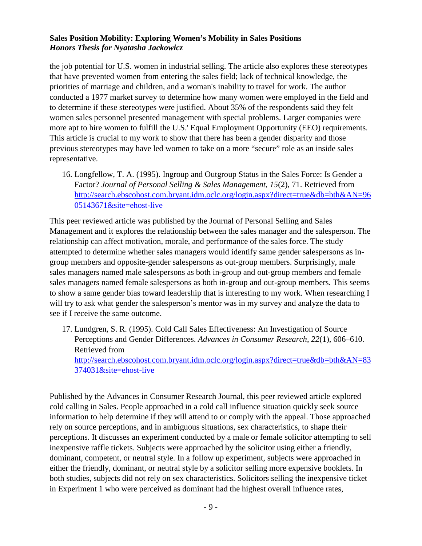the job potential for U.S. women in industrial selling. The article also explores these stereotypes that have prevented women from entering the sales field; lack of technical knowledge, the priorities of marriage and children, and a woman's inability to travel for work. The author conducted a 1977 market survey to determine how many women were employed in the field and to determine if these stereotypes were justified. About 35% of the respondents said they felt women sales personnel presented management with special problems. Larger companies were more apt to hire women to fulfill the U.S.' Equal Employment Opportunity (EEO) requirements. This article is crucial to my work to show that there has been a gender disparity and those previous stereotypes may have led women to take on a more "secure" role as an inside sales representative.

16. Longfellow, T. A. (1995). Ingroup and Outgroup Status in the Sales Force: Is Gender a Factor? *Journal of Personal Selling & Sales Management*, *15*(2), 71. Retrieved from [http://search.ebscohost.com.bryant.idm.oclc.org/login.aspx?direct=true&db=bth&AN=96](http://search.ebscohost.com.bryant.idm.oclc.org/login.aspx?direct=true&db=bth&AN=9605143671&site=ehost-live) [05143671&site=ehost-live](http://search.ebscohost.com.bryant.idm.oclc.org/login.aspx?direct=true&db=bth&AN=9605143671&site=ehost-live)

This peer reviewed article was published by the Journal of Personal Selling and Sales Management and it explores the relationship between the sales manager and the salesperson. The relationship can affect motivation, morale, and performance of the sales force. The study attempted to determine whether sales managers would identify same gender salespersons as ingroup members and opposite-gender salespersons as out-group members. Surprisingly, male sales managers named male salespersons as both in-group and out-group members and female sales managers named female salespersons as both in-group and out-group members. This seems to show a same gender bias toward leadership that is interesting to my work. When researching I will try to ask what gender the salesperson's mentor was in my survey and analyze the data to see if I receive the same outcome.

17. Lundgren, S. R. (1995). Cold Call Sales Effectiveness: An Investigation of Source Perceptions and Gender Differences. *Advances in Consumer Research*, *22*(1), 606–610. Retrieved from [http://search.ebscohost.com.bryant.idm.oclc.org/login.aspx?direct=true&db=bth&AN=83](http://search.ebscohost.com.bryant.idm.oclc.org/login.aspx?direct=true&db=bth&AN=83374031&site=ehost-live) [374031&site=ehost-live](http://search.ebscohost.com.bryant.idm.oclc.org/login.aspx?direct=true&db=bth&AN=83374031&site=ehost-live)

Published by the Advances in Consumer Research Journal, this peer reviewed article explored cold calling in Sales. People approached in a cold call influence situation quickly seek source information to help determine if they will attend to or comply with the appeal. Those approached rely on source perceptions, and in ambiguous situations, sex characteristics, to shape their perceptions. It discusses an experiment conducted by a male or female solicitor attempting to sell inexpensive raffle tickets. Subjects were approached by the solicitor using either a friendly, dominant, competent, or neutral style. In a follow up experiment, subjects were approached in either the friendly, dominant, or neutral style by a solicitor selling more expensive booklets. In both studies, subjects did not rely on sex characteristics. Solicitors selling the inexpensive ticket in Experiment 1 who were perceived as dominant had the highest overall influence rates,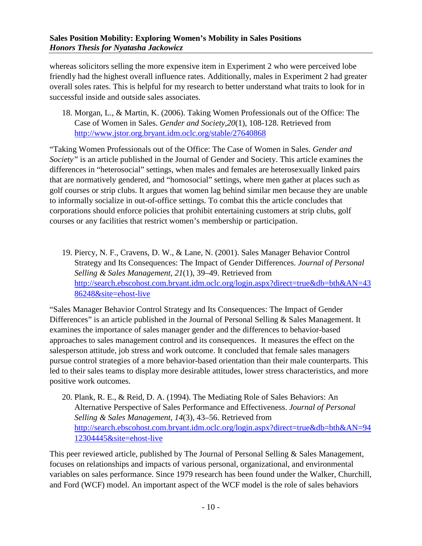whereas solicitors selling the more expensive item in Experiment 2 who were perceived lobe friendly had the highest overall influence rates. Additionally, males in Experiment 2 had greater overall soles rates. This is helpful for my research to better understand what traits to look for in successful inside and outside sales associates.

18. Morgan, L., & Martin, K. (2006). Taking Women Professionals out of the Office: The Case of Women in Sales. *Gender and Society,20*(1), 108-128. Retrieved from <http://www.jstor.org.bryant.idm.oclc.org/stable/27640868>

"Taking Women Professionals out of the Office: The Case of Women in Sales. *Gender and Society"* is an article published in the Journal of Gender and Society. This article examines the differences in "heterosocial" settings, when males and females are heterosexually linked pairs that are normatively gendered, and "homosocial" settings, where men gather at places such as golf courses or strip clubs. It argues that women lag behind similar men because they are unable to informally socialize in out-of-office settings. To combat this the article concludes that corporations should enforce policies that prohibit entertaining customers at strip clubs, golf courses or any facilities that restrict women's membership or participation.

19. Piercy, N. F., Cravens, D. W., & Lane, N. (2001). Sales Manager Behavior Control Strategy and Its Consequences: The Impact of Gender Differences. *Journal of Personal Selling & Sales Management*, *21*(1), 39–49. Retrieved from [http://search.ebscohost.com.bryant.idm.oclc.org/login.aspx?direct=true&db=bth&AN=43](http://search.ebscohost.com.bryant.idm.oclc.org/login.aspx?direct=true&db=bth&AN=4386248&site=ehost-live) [86248&site=ehost-live](http://search.ebscohost.com.bryant.idm.oclc.org/login.aspx?direct=true&db=bth&AN=4386248&site=ehost-live)

"Sales Manager Behavior Control Strategy and Its Consequences: The Impact of Gender Differences" is an article published in the Journal of Personal Selling & Sales Management. It examines the importance of sales manager gender and the differences to behavior-based approaches to sales management control and its consequences. It measures the effect on the salesperson attitude, job stress and work outcome. It concluded that female sales managers pursue control strategies of a more behavior-based orientation than their male counterparts. This led to their sales teams to display more desirable attitudes, lower stress characteristics, and more positive work outcomes.

20. Plank, R. E., & Reid, D. A. (1994). The Mediating Role of Sales Behaviors: An Alternative Perspective of Sales Performance and Effectiveness. *Journal of Personal Selling & Sales Management*, *14*(3), 43–56. Retrieved from [http://search.ebscohost.com.bryant.idm.oclc.org/login.aspx?direct=true&db=bth&AN=94](http://search.ebscohost.com.bryant.idm.oclc.org/login.aspx?direct=true&db=bth&AN=9412304445&site=ehost-live) [12304445&site=ehost-live](http://search.ebscohost.com.bryant.idm.oclc.org/login.aspx?direct=true&db=bth&AN=9412304445&site=ehost-live)

This peer reviewed article, published by The Journal of Personal Selling & Sales Management, focuses on relationships and impacts of various personal, organizational, and environmental variables on sales performance. Since 1979 research has been found under the Walker, Churchill, and Ford (WCF) model. An important aspect of the WCF model is the role of sales behaviors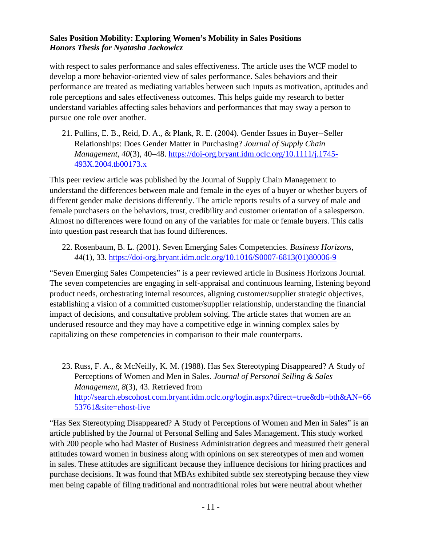with respect to sales performance and sales effectiveness. The article uses the WCF model to develop a more behavior-oriented view of sales performance. Sales behaviors and their performance are treated as mediating variables between such inputs as motivation, aptitudes and role perceptions and sales effectiveness outcomes. This helps guide my research to better understand variables affecting sales behaviors and performances that may sway a person to pursue one role over another.

21. Pullins, E. B., Reid, D. A., & Plank, R. E. (2004). Gender Issues in Buyer--Seller Relationships: Does Gender Matter in Purchasing? *Journal of Supply Chain Management*, *40*(3), 40–48. [https://doi-org.bryant.idm.oclc.org/10.1111/j.1745-](https://doi-org.bryant.idm.oclc.org/10.1111/j.1745-493X.2004.tb00173.x) [493X.2004.tb00173.x](https://doi-org.bryant.idm.oclc.org/10.1111/j.1745-493X.2004.tb00173.x)

This peer review article was published by the Journal of Supply Chain Management to understand the differences between male and female in the eyes of a buyer or whether buyers of different gender make decisions differently. The article reports results of a survey of male and female purchasers on the behaviors, trust, credibility and customer orientation of a salesperson. Almost no differences were found on any of the variables for male or female buyers. This calls into question past research that has found differences.

22. Rosenbaum, B. L. (2001). Seven Emerging Sales Competencies. *Business Horizons*, *44*(1), 33. [https://doi-org.bryant.idm.oclc.org/10.1016/S0007-6813\(01\)80006-9](https://doi-org.bryant.idm.oclc.org/10.1016/S0007-6813(01)80006-9)

"Seven Emerging Sales Competencies" is a peer reviewed article in Business Horizons Journal. The seven competencies are engaging in self-appraisal and continuous learning, listening beyond product needs, orchestrating internal resources, aligning customer/supplier strategic objectives, establishing a vision of a committed customer/supplier relationship, understanding the financial impact of decisions, and consultative problem solving. The article states that women are an underused resource and they may have a competitive edge in winning complex sales by capitalizing on these competencies in comparison to their male counterparts.

23. Russ, F. A., & McNeilly, K. M. (1988). Has Sex Stereotyping Disappeared? A Study of Perceptions of Women and Men in Sales. *Journal of Personal Selling & Sales Management*, *8*(3), 43. Retrieved from [http://search.ebscohost.com.bryant.idm.oclc.org/login.aspx?direct=true&db=bth&AN=66](http://search.ebscohost.com.bryant.idm.oclc.org/login.aspx?direct=true&db=bth&AN=6653761&site=ehost-live) [53761&site=ehost-live](http://search.ebscohost.com.bryant.idm.oclc.org/login.aspx?direct=true&db=bth&AN=6653761&site=ehost-live)

"Has Sex Stereotyping Disappeared? A Study of Perceptions of Women and Men in Sales" is an article published by the Journal of Personal Selling and Sales Management. This study worked with 200 people who had Master of Business Administration degrees and measured their general attitudes toward women in business along with opinions on sex stereotypes of men and women in sales. These attitudes are significant because they influence decisions for hiring practices and purchase decisions. It was found that MBAs exhibited subtle sex stereotyping because they view men being capable of filing traditional and nontraditional roles but were neutral about whether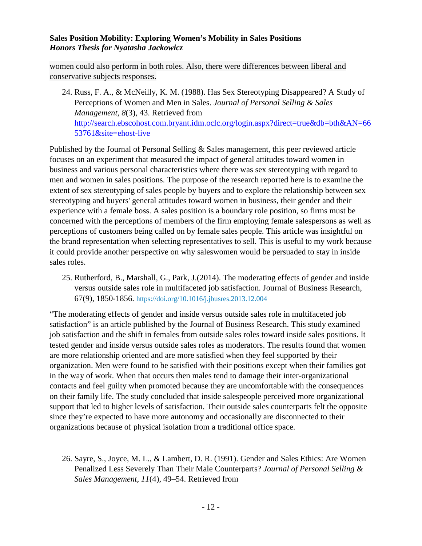women could also perform in both roles. Also, there were differences between liberal and conservative subjects responses.

24. Russ, F. A., & McNeilly, K. M. (1988). Has Sex Stereotyping Disappeared? A Study of Perceptions of Women and Men in Sales. *Journal of Personal Selling & Sales Management*, *8*(3), 43. Retrieved from [http://search.ebscohost.com.bryant.idm.oclc.org/login.aspx?direct=true&db=bth&AN=66](http://search.ebscohost.com.bryant.idm.oclc.org/login.aspx?direct=true&db=bth&AN=6653761&site=ehost-live) [53761&site=ehost-live](http://search.ebscohost.com.bryant.idm.oclc.org/login.aspx?direct=true&db=bth&AN=6653761&site=ehost-live)

Published by the Journal of Personal Selling & Sales management, this peer reviewed article focuses on an experiment that measured the impact of general attitudes toward women in business and various personal characteristics where there was sex stereotyping with regard to men and women in sales positions. The purpose of the research reported here is to examine the extent of sex stereotyping of sales people by buyers and to explore the relationship between sex stereotyping and buyers' general attitudes toward women in business, their gender and their experience with a female boss. A sales position is a boundary role position, so firms must be concerned with the perceptions of members of the firm employing female salespersons as well as perceptions of customers being called on by female sales people. This article was insightful on the brand representation when selecting representatives to sell. This is useful to my work because it could provide another perspective on why saleswomen would be persuaded to stay in inside sales roles.

25. Rutherford, B., Marshall, G., Park, J.(2014). The moderating effects of gender and inside versus outside sales role in multifaceted job satisfaction. Journal of Business Research, 67(9), 1850-1856. [https://doi.org/10.1016/j.jbusres.2013.12.004](https://doi-org.bryant.idm.oclc.org/10.1016/j.jbusres.2013.12.004)

"The moderating effects of gender and inside versus outside sales role in multifaceted job satisfaction" is an article published by the Journal of Business Research. This study examined job satisfaction and the shift in females from outside sales roles toward inside sales positions. It tested gender and inside versus outside sales roles as moderators. The results found that women are more relationship oriented and are more satisfied when they feel supported by their organization. Men were found to be satisfied with their positions except when their families got in the way of work. When that occurs then males tend to damage their inter-organizational contacts and feel guilty when promoted because they are uncomfortable with the consequences on their family life. The study concluded that inside salespeople perceived more organizational support that led to higher levels of satisfaction. Their outside sales counterparts felt the opposite since they're expected to have more autonomy and occasionally are disconnected to their organizations because of physical isolation from a traditional office space.

26. Sayre, S., Joyce, M. L., & Lambert, D. R. (1991). Gender and Sales Ethics: Are Women Penalized Less Severely Than Their Male Counterparts? *Journal of Personal Selling & Sales Management*, *11*(4), 49–54. Retrieved from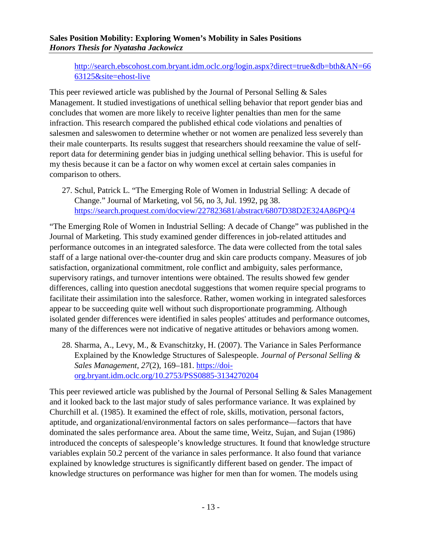[http://search.ebscohost.com.bryant.idm.oclc.org/login.aspx?direct=true&db=bth&AN=66](http://search.ebscohost.com.bryant.idm.oclc.org/login.aspx?direct=true&db=bth&AN=6663125&site=ehost-live) [63125&site=ehost-live](http://search.ebscohost.com.bryant.idm.oclc.org/login.aspx?direct=true&db=bth&AN=6663125&site=ehost-live)

This peer reviewed article was published by the Journal of Personal Selling  $\&$  Sales Management. It studied investigations of unethical selling behavior that report gender bias and concludes that women are more likely to receive lighter penalties than men for the same infraction. This research compared the published ethical code violations and penalties of salesmen and saleswomen to determine whether or not women are penalized less severely than their male counterparts. Its results suggest that researchers should reexamine the value of selfreport data for determining gender bias in judging unethical selling behavior. This is useful for my thesis because it can be a factor on why women excel at certain sales companies in comparison to others.

27. Schul, Patrick L. "The Emerging Role of Women in Industrial Selling: A decade of Change." Journal of Marketing, vol 56, no 3, Jul. 1992, pg 38. <https://search.proquest.com/docview/227823681/abstract/6807D38D2E324A86PQ/4>

"The Emerging Role of Women in Industrial Selling: A decade of Change" was published in the Journal of Marketing. This study examined gender differences in job-related attitudes and performance outcomes in an integrated salesforce. The data were collected from the total sales staff of a large national over-the-counter drug and skin care products company. Measures of job satisfaction, organizational commitment, role conflict and ambiguity, sales performance, supervisory ratings, and turnover intentions were obtained. The results showed few gender differences, calling into question anecdotal suggestions that women require special programs to facilitate their assimilation into the salesforce. Rather, women working in integrated salesforces appear to be succeeding quite well without such disproportionate programming. Although isolated gender differences were identified in sales peoples' attitudes and performance outcomes, many of the differences were not indicative of negative attitudes or behaviors among women.

28. Sharma, A., Levy, M., & Evanschitzky, H. (2007). The Variance in Sales Performance Explained by the Knowledge Structures of Salespeople. *Journal of Personal Selling & Sales Management*, *27*(2), 169–181. [https://doi](https://doi-org.bryant.idm.oclc.org/10.2753/PSS0885-3134270204)[org.bryant.idm.oclc.org/10.2753/PSS0885-3134270204](https://doi-org.bryant.idm.oclc.org/10.2753/PSS0885-3134270204)

This peer reviewed article was published by the Journal of Personal Selling & Sales Management and it looked back to the last major study of sales performance variance. It was explained by Churchill et al. (1985). It examined the effect of role, skills, motivation, personal factors, aptitude, and organizational/environmental factors on sales performance—factors that have dominated the sales performance area. About the same time, Weitz, Sujan, and Sujan (1986) introduced the concepts of salespeople's knowledge structures. It found that knowledge structure variables explain 50.2 percent of the variance in sales performance. It also found that variance explained by knowledge structures is significantly different based on gender. The impact of knowledge structures on performance was higher for men than for women. The models using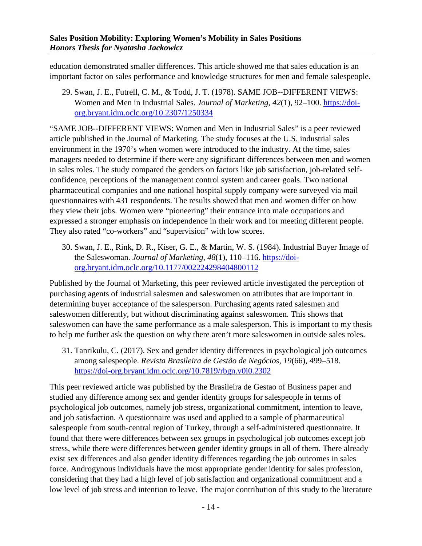education demonstrated smaller differences. This article showed me that sales education is an important factor on sales performance and knowledge structures for men and female salespeople.

29. Swan, J. E., Futrell, C. M., & Todd, J. T. (1978). SAME JOB--DIFFERENT VIEWS: Women and Men in Industrial Sales. *Journal of Marketing*, *42*(1), 92–100. [https://doi](https://doi-org.bryant.idm.oclc.org/10.2307/1250334)[org.bryant.idm.oclc.org/10.2307/1250334](https://doi-org.bryant.idm.oclc.org/10.2307/1250334)

"SAME JOB--DIFFERENT VIEWS: Women and Men in Industrial Sales" is a peer reviewed article published in the Journal of Marketing. The study focuses at the U.S. industrial sales environment in the 1970's when women were introduced to the industry. At the time, sales managers needed to determine if there were any significant differences between men and women in sales roles. The study compared the genders on factors like job satisfaction, job-related selfconfidence, perceptions of the management control system and career goals. Two national pharmaceutical companies and one national hospital supply company were surveyed via mail questionnaires with 431 respondents. The results showed that men and women differ on how they view their jobs. Women were "pioneering" their entrance into male occupations and expressed a stronger emphasis on independence in their work and for meeting different people. They also rated "co-workers" and "supervision" with low scores.

30. Swan, J. E., Rink, D. R., Kiser, G. E., & Martin, W. S. (1984). Industrial Buyer Image of the Saleswoman. *Journal of Marketing*, *48*(1), 110–116. [https://doi](https://doi-org.bryant.idm.oclc.org/10.1177/002224298404800112)[org.bryant.idm.oclc.org/10.1177/002224298404800112](https://doi-org.bryant.idm.oclc.org/10.1177/002224298404800112)

Published by the Journal of Marketing, this peer reviewed article investigated the perception of purchasing agents of industrial salesmen and saleswomen on attributes that are important in determining buyer acceptance of the salesperson. Purchasing agents rated salesmen and saleswomen differently, but without discriminating against saleswomen. This shows that saleswomen can have the same performance as a male salesperson. This is important to my thesis to help me further ask the question on why there aren't more saleswomen in outside sales roles.

31. Tanrikulu, C. (2017). Sex and gender identity differences in psychological job outcomes among salespeople. *Revista Brasileira de Gestão de Negócios*, *19*(66), 499–518. <https://doi-org.bryant.idm.oclc.org/10.7819/rbgn.v0i0.2302>

This peer reviewed article was published by the Brasileira de Gestao of Business paper and studied any difference among sex and gender identity groups for salespeople in terms of psychological job outcomes, namely job stress, organizational commitment, intention to leave, and job satisfaction. A questionnaire was used and applied to a sample of pharmaceutical salespeople from south-central region of Turkey, through a self-administered questionnaire. It found that there were differences between sex groups in psychological job outcomes except job stress, while there were differences between gender identity groups in all of them. There already exist sex differences and also gender identity differences regarding the job outcomes in sales force. Androgynous individuals have the most appropriate gender identity for sales profession, considering that they had a high level of job satisfaction and organizational commitment and a low level of job stress and intention to leave. The major contribution of this study to the literature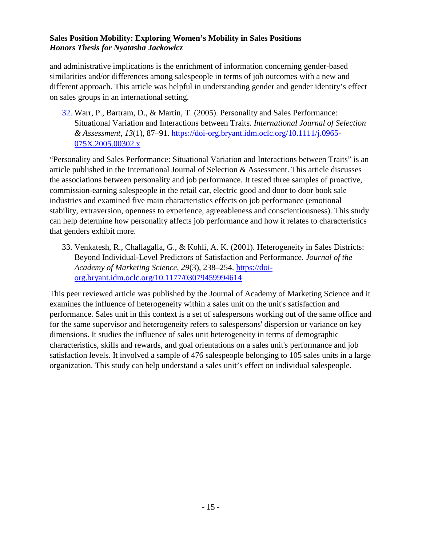and administrative implications is the enrichment of information concerning gender-based similarities and/or differences among salespeople in terms of job outcomes with a new and different approach. This article was helpful in understanding gender and gender identity's effect on sales groups in an international setting.

32. Warr, P., Bartram, D., & Martin, T. (2005). Personality and Sales Performance: Situational Variation and Interactions between Traits. *International Journal of Selection & Assessment*, *13*(1), 87–91. [https://doi-org.bryant.idm.oclc.org/10.1111/j.0965-](https://doi-org.bryant.idm.oclc.org/10.1111/j.0965-075X.2005.00302.x) [075X.2005.00302.x](https://doi-org.bryant.idm.oclc.org/10.1111/j.0965-075X.2005.00302.x)

"Personality and Sales Performance: Situational Variation and Interactions between Traits" is an article published in the International Journal of Selection & Assessment. This article discusses the associations between personality and job performance. It tested three samples of proactive, commission-earning salespeople in the retail car, electric good and door to door book sale industries and examined five main characteristics effects on job performance (emotional stability, extraversion, openness to experience, agreeableness and conscientiousness). This study can help determine how personality affects job performance and how it relates to characteristics that genders exhibit more.

33. Venkatesh, R., Challagalla, G., & Kohli, A. K. (2001). Heterogeneity in Sales Districts: Beyond Individual-Level Predictors of Satisfaction and Performance. *Journal of the Academy of Marketing Science*, *29*(3), 238–254. [https://doi](https://doi-org.bryant.idm.oclc.org/10.1177/03079459994614)[org.bryant.idm.oclc.org/10.1177/03079459994614](https://doi-org.bryant.idm.oclc.org/10.1177/03079459994614)

This peer reviewed article was published by the Journal of Academy of Marketing Science and it examines the influence of heterogeneity within a sales unit on the unit's satisfaction and performance. Sales unit in this context is a set of salespersons working out of the same office and for the same supervisor and heterogeneity refers to salespersons' dispersion or variance on key dimensions. It studies the influence of sales unit heterogeneity in terms of demographic characteristics, skills and rewards, and goal orientations on a sales unit's performance and job satisfaction levels. It involved a sample of 476 salespeople belonging to 105 sales units in a large organization. This study can help understand a sales unit's effect on individual salespeople.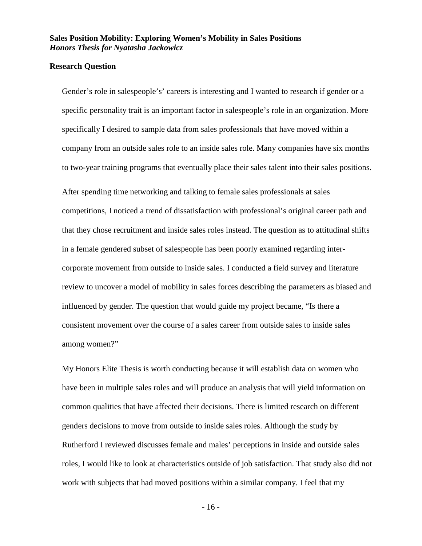#### <span id="page-17-0"></span>**Research Question**

Gender's role in salespeople's' careers is interesting and I wanted to research if gender or a specific personality trait is an important factor in salespeople's role in an organization. More specifically I desired to sample data from sales professionals that have moved within a company from an outside sales role to an inside sales role. Many companies have six months to two-year training programs that eventually place their sales talent into their sales positions.

After spending time networking and talking to female sales professionals at sales competitions, I noticed a trend of dissatisfaction with professional's original career path and that they chose recruitment and inside sales roles instead. The question as to attitudinal shifts in a female gendered subset of salespeople has been poorly examined regarding intercorporate movement from outside to inside sales. I conducted a field survey and literature review to uncover a model of mobility in sales forces describing the parameters as biased and influenced by gender. The question that would guide my project became, "Is there a consistent movement over the course of a sales career from outside sales to inside sales among women?"

My Honors Elite Thesis is worth conducting because it will establish data on women who have been in multiple sales roles and will produce an analysis that will yield information on common qualities that have affected their decisions. There is limited research on different genders decisions to move from outside to inside sales roles. Although the study by Rutherford I reviewed discusses female and males' perceptions in inside and outside sales roles, I would like to look at characteristics outside of job satisfaction. That study also did not work with subjects that had moved positions within a similar company. I feel that my

- 16 -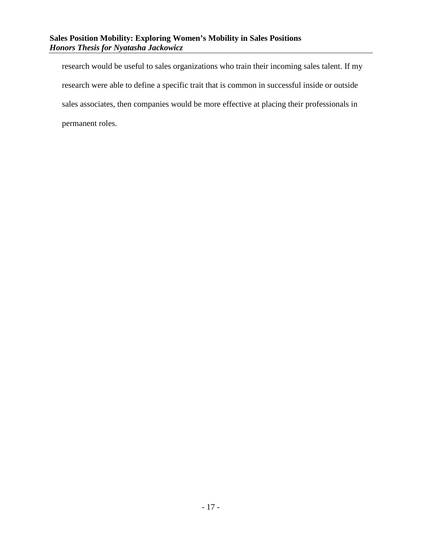research would be useful to sales organizations who train their incoming sales talent. If my research were able to define a specific trait that is common in successful inside or outside sales associates, then companies would be more effective at placing their professionals in permanent roles.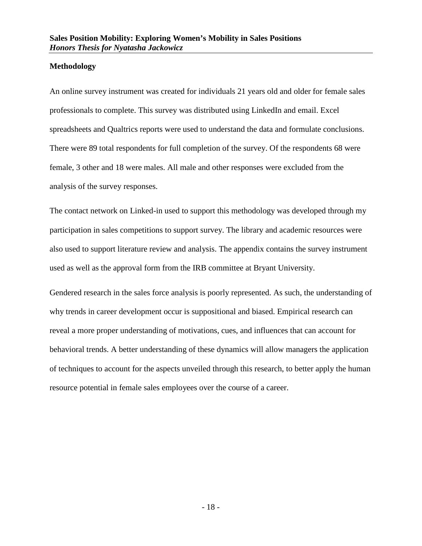#### <span id="page-19-0"></span>**Methodology**

An online survey instrument was created for individuals 21 years old and older for female sales professionals to complete. This survey was distributed using LinkedIn and email. Excel spreadsheets and Qualtrics reports were used to understand the data and formulate conclusions. There were 89 total respondents for full completion of the survey. Of the respondents 68 were female, 3 other and 18 were males. All male and other responses were excluded from the analysis of the survey responses.

The contact network on Linked-in used to support this methodology was developed through my participation in sales competitions to support survey. The library and academic resources were also used to support literature review and analysis. The appendix contains the survey instrument used as well as the approval form from the IRB committee at Bryant University.

Gendered research in the sales force analysis is poorly represented. As such, the understanding of why trends in career development occur is suppositional and biased. Empirical research can reveal a more proper understanding of motivations, cues, and influences that can account for behavioral trends. A better understanding of these dynamics will allow managers the application of techniques to account for the aspects unveiled through this research, to better apply the human resource potential in female sales employees over the course of a career.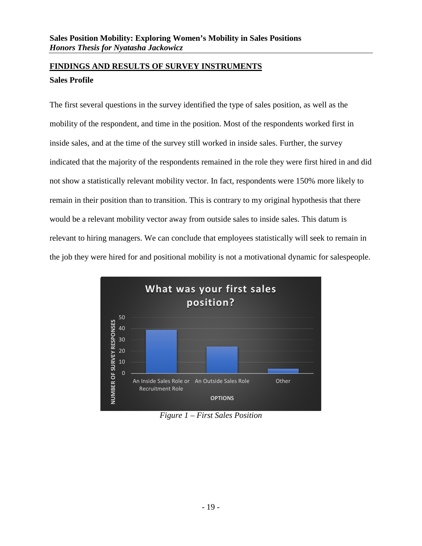#### <span id="page-20-1"></span><span id="page-20-0"></span>**FINDINGS AND RESULTS OF SURVEY INSTRUMENTS Sales Profile**

The first several questions in the survey identified the type of sales position, as well as the mobility of the respondent, and time in the position. Most of the respondents worked first in inside sales, and at the time of the survey still worked in inside sales. Further, the survey indicated that the majority of the respondents remained in the role they were first hired in and did not show a statistically relevant mobility vector. In fact, respondents were 150% more likely to remain in their position than to transition. This is contrary to my original hypothesis that there would be a relevant mobility vector away from outside sales to inside sales. This datum is relevant to hiring managers. We can conclude that employees statistically will seek to remain in the job they were hired for and positional mobility is not a motivational dynamic for salespeople.



*Figure 1 – First Sales Position*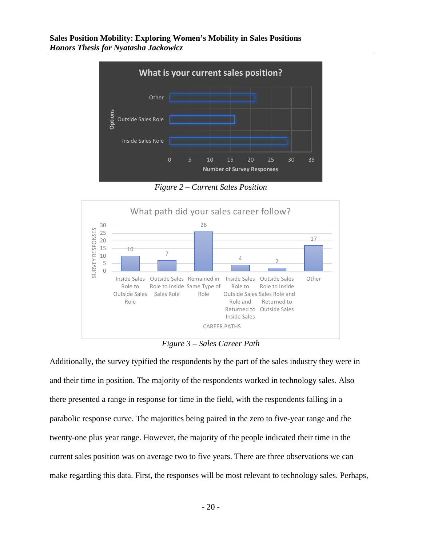

*Figure 2 – Current Sales Position*



*Figure 3 – Sales Career Path*

Additionally, the survey typified the respondents by the part of the sales industry they were in and their time in position. The majority of the respondents worked in technology sales. Also there presented a range in response for time in the field, with the respondents falling in a parabolic response curve. The majorities being paired in the zero to five-year range and the twenty-one plus year range. However, the majority of the people indicated their time in the current sales position was on average two to five years. There are three observations we can make regarding this data. First, the responses will be most relevant to technology sales. Perhaps,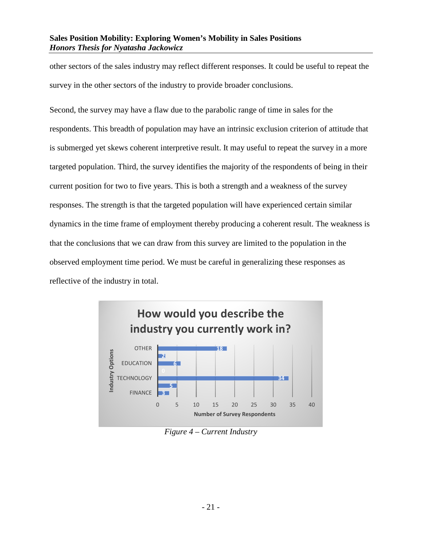other sectors of the sales industry may reflect different responses. It could be useful to repeat the survey in the other sectors of the industry to provide broader conclusions.

Second, the survey may have a flaw due to the parabolic range of time in sales for the respondents. This breadth of population may have an intrinsic exclusion criterion of attitude that is submerged yet skews coherent interpretive result. It may useful to repeat the survey in a more targeted population. Third, the survey identifies the majority of the respondents of being in their current position for two to five years. This is both a strength and a weakness of the survey responses. The strength is that the targeted population will have experienced certain similar dynamics in the time frame of employment thereby producing a coherent result. The weakness is that the conclusions that we can draw from this survey are limited to the population in the observed employment time period. We must be careful in generalizing these responses as reflective of the industry in total.



*Figure 4 – Current Industry*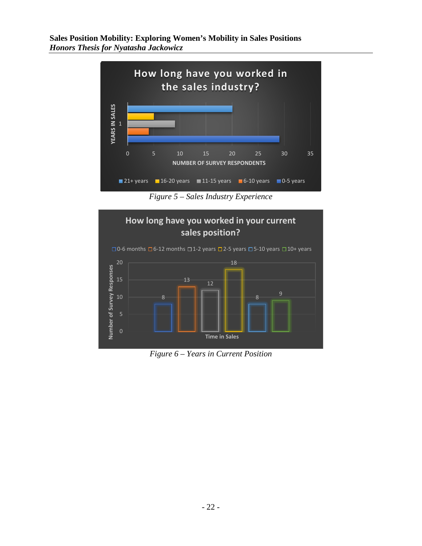

*Figure 5 – Sales Industry Experience*



*Figure 6 – Years in Current Position*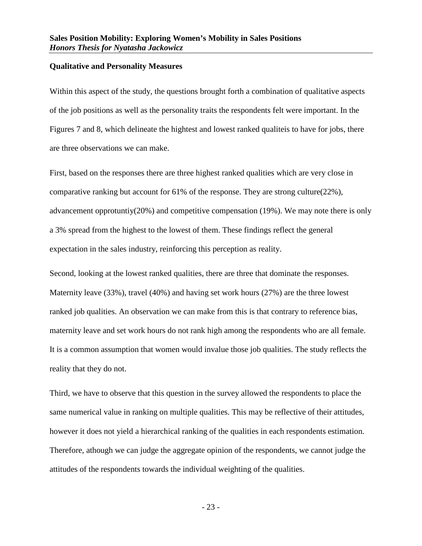#### <span id="page-24-0"></span>**Qualitative and Personality Measures**

Within this aspect of the study, the questions brought forth a combination of qualitative aspects of the job positions as well as the personality traits the respondents felt were important. In the Figures 7 and 8, which delineate the hightest and lowest ranked qualiteis to have for jobs, there are three observations we can make.

First, based on the responses there are three highest ranked qualities which are very close in comparative ranking but account for 61% of the response. They are strong culture(22%), advancement opprotuntiy(20%) and competitive compensation (19%). We may note there is only a 3% spread from the highest to the lowest of them. These findings reflect the general expectation in the sales industry, reinforcing this perception as reality.

Second, looking at the lowest ranked qualities, there are three that dominate the responses. Maternity leave (33%), travel (40%) and having set work hours (27%) are the three lowest ranked job qualities. An observation we can make from this is that contrary to reference bias, maternity leave and set work hours do not rank high among the respondents who are all female. It is a common assumption that women would invalue those job qualities. The study reflects the reality that they do not.

Third, we have to observe that this question in the survey allowed the respondents to place the same numerical value in ranking on multiple qualities. This may be reflective of their attitudes, however it does not yield a hierarchical ranking of the qualities in each respondents estimation. Therefore, athough we can judge the aggregate opinion of the respondents, we cannot judge the attitudes of the respondents towards the individual weighting of the qualities.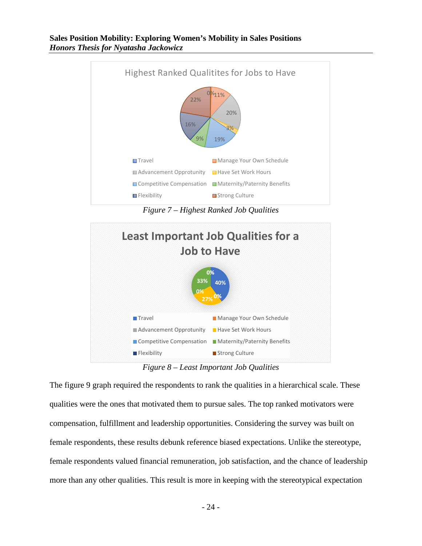

*Figure 7 – Highest Ranked Job Qualities*



*Figure 8 – Least Important Job Qualities*

The figure 9 graph required the respondents to rank the qualities in a hierarchical scale. These qualities were the ones that motivated them to pursue sales. The top ranked motivators were compensation, fulfillment and leadership opportunities. Considering the survey was built on female respondents, these results debunk reference biased expectations. Unlike the stereotype, female respondents valued financial remuneration, job satisfaction, and the chance of leadership more than any other qualities. This result is more in keeping with the stereotypical expectation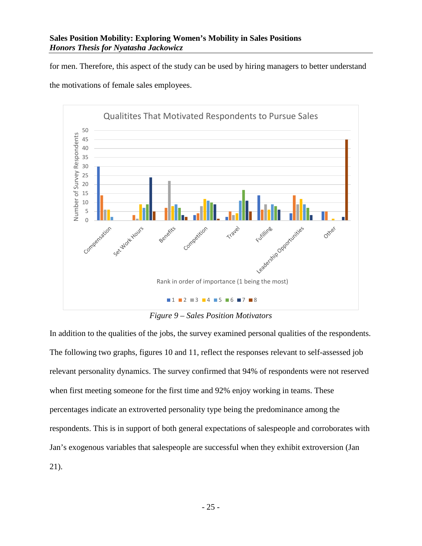for men. Therefore, this aspect of the study can be used by hiring managers to better understand the motivations of female sales employees.



*Figure 9 – Sales Position Motivators*

In addition to the qualities of the jobs, the survey examined personal qualities of the respondents. The following two graphs, figures 10 and 11, reflect the responses relevant to self-assessed job relevant personality dynamics. The survey confirmed that 94% of respondents were not reserved when first meeting someone for the first time and 92% enjoy working in teams. These percentages indicate an extroverted personality type being the predominance among the respondents. This is in support of both general expectations of salespeople and corroborates with Jan's exogenous variables that salespeople are successful when they exhibit extroversion (Jan 21).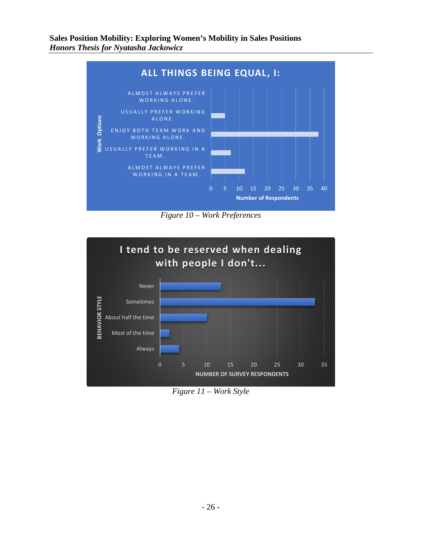

*Figure 10 – Work Preferences*



*Figure 11 – Work Style*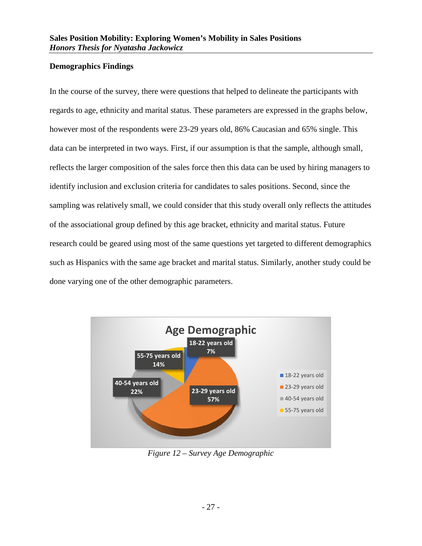#### <span id="page-28-0"></span>**Demographics Findings**

In the course of the survey, there were questions that helped to delineate the participants with regards to age, ethnicity and marital status. These parameters are expressed in the graphs below, however most of the respondents were 23-29 years old, 86% Caucasian and 65% single. This data can be interpreted in two ways. First, if our assumption is that the sample, although small, reflects the larger composition of the sales force then this data can be used by hiring managers to identify inclusion and exclusion criteria for candidates to sales positions. Second, since the sampling was relatively small, we could consider that this study overall only reflects the attitudes of the associational group defined by this age bracket, ethnicity and marital status. Future research could be geared using most of the same questions yet targeted to different demographics such as Hispanics with the same age bracket and marital status. Similarly, another study could be done varying one of the other demographic parameters.



*Figure 12 – Survey Age Demographic*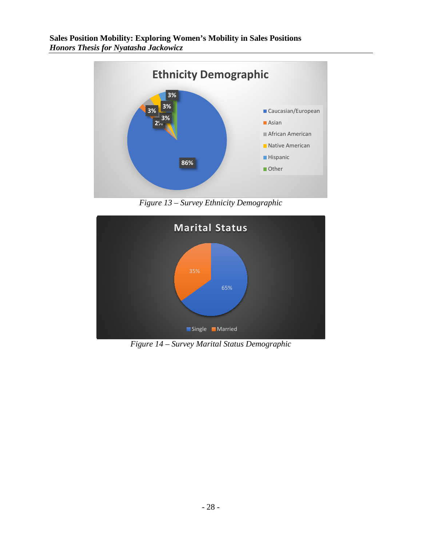

*Figure 13 – Survey Ethnicity Demographic*



*Figure 14 – Survey Marital Status Demographic*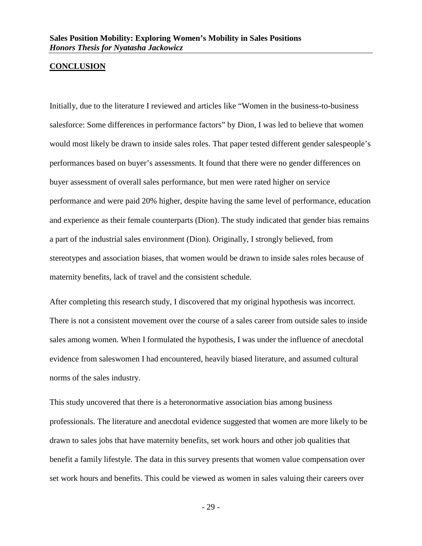#### <span id="page-30-0"></span>**CONCLUSION**

Initially, due to the literature I reviewed and articles like "Women in the business-to-business salesforce: Some differences in performance factors" by Dion, I was led to believe that women would most likely be drawn to inside sales roles. That paper tested different gender salespeople's performances based on buyer's assessments. It found that there were no gender differences on buyer assessment of overall sales performance, but men were rated higher on service performance and were paid 20% higher, despite having the same level of performance, education and experience as their female counterparts (Dion). The study indicated that gender bias remains a part of the industrial sales environment (Dion). Originally, I strongly believed, from stereotypes and association biases, that women would be drawn to inside sales roles because of maternity benefits, lack of travel and the consistent schedule.

After completing this research study, I discovered that my original hypothesis was incorrect. There is not a consistent movement over the course of a sales career from outside sales to inside sales among women. When I formulated the hypothesis, I was under the influence of anecdotal evidence from saleswomen I had encountered, heavily biased literature, and assumed cultural norms of the sales industry.

This study uncovered that there is a heteronormative association bias among business professionals. The literature and anecdotal evidence suggested that women are more likely to be drawn to sales jobs that have maternity benefits, set work hours and other job qualities that benefit a family lifestyle. The data in this survey presents that women value compensation over set work hours and benefits. This could be viewed as women in sales valuing their careers over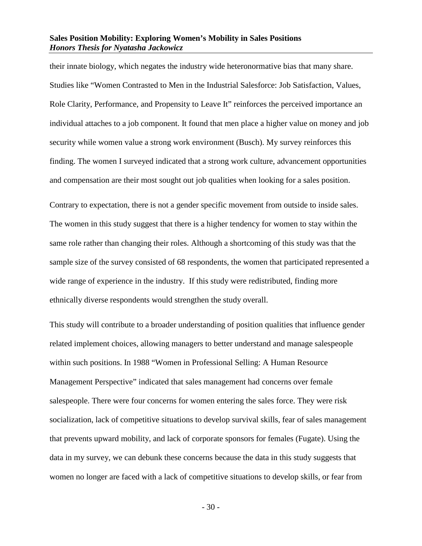their innate biology, which negates the industry wide heteronormative bias that many share. Studies like "Women Contrasted to Men in the Industrial Salesforce: Job Satisfaction, Values, Role Clarity, Performance, and Propensity to Leave It" reinforces the perceived importance an individual attaches to a job component. It found that men place a higher value on money and job security while women value a strong work environment (Busch). My survey reinforces this finding. The women I surveyed indicated that a strong work culture, advancement opportunities and compensation are their most sought out job qualities when looking for a sales position.

Contrary to expectation, there is not a gender specific movement from outside to inside sales. The women in this study suggest that there is a higher tendency for women to stay within the same role rather than changing their roles. Although a shortcoming of this study was that the sample size of the survey consisted of 68 respondents, the women that participated represented a wide range of experience in the industry. If this study were redistributed, finding more ethnically diverse respondents would strengthen the study overall.

This study will contribute to a broader understanding of position qualities that influence gender related implement choices, allowing managers to better understand and manage salespeople within such positions. In 1988 "Women in Professional Selling: A Human Resource Management Perspective" indicated that sales management had concerns over female salespeople. There were four concerns for women entering the sales force. They were risk socialization, lack of competitive situations to develop survival skills, fear of sales management that prevents upward mobility, and lack of corporate sponsors for females (Fugate). Using the data in my survey, we can debunk these concerns because the data in this study suggests that women no longer are faced with a lack of competitive situations to develop skills, or fear from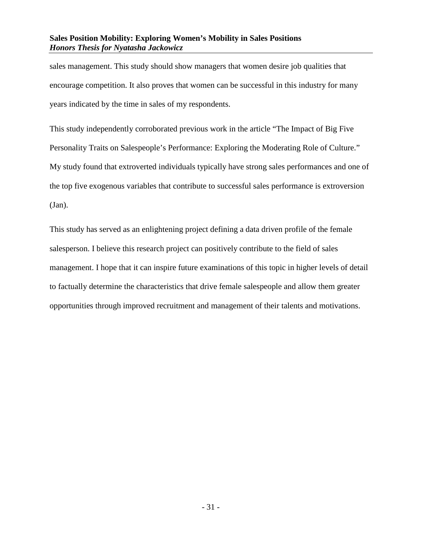sales management. This study should show managers that women desire job qualities that encourage competition. It also proves that women can be successful in this industry for many years indicated by the time in sales of my respondents.

This study independently corroborated previous work in the article "The Impact of Big Five Personality Traits on Salespeople's Performance: Exploring the Moderating Role of Culture." My study found that extroverted individuals typically have strong sales performances and one of the top five exogenous variables that contribute to successful sales performance is extroversion (Jan).

This study has served as an enlightening project defining a data driven profile of the female salesperson. I believe this research project can positively contribute to the field of sales management. I hope that it can inspire future examinations of this topic in higher levels of detail to factually determine the characteristics that drive female salespeople and allow them greater opportunities through improved recruitment and management of their talents and motivations.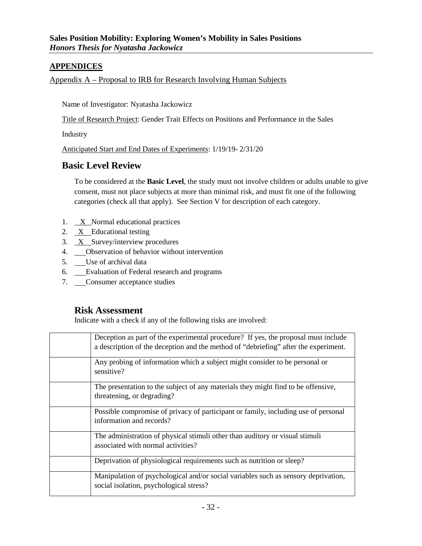#### <span id="page-33-0"></span>**APPENDICES**

#### <span id="page-33-1"></span>Appendix A – Proposal to IRB for Research Involving Human Subjects

Name of Investigator: Nyatasha Jackowicz

Title of Research Project: Gender Trait Effects on Positions and Performance in the Sales

Industry

Anticipated Start and End Dates of Experiments: 1/19/19- 2/31/20

#### **Basic Level Review**

To be considered at the **Basic Level**, the study must not involve children or adults unable to give consent, must not place subjects at more than minimal risk, and must fit one of the following categories (check all that apply). See Section V for description of each category.

- 1.  $X$  Normal educational practices
- 2. X Educational testing
- 3. X Survey/interview procedures
- 4. Observation of behavior without intervention
- 5. Use of archival data
- 6. Evaluation of Federal research and programs
- 7. Consumer acceptance studies

#### **Risk Assessment**

Indicate with a check if any of the following risks are involved:

| Deception as part of the experimental procedure? If yes, the proposal must include<br>a description of the deception and the method of "debriefing" after the experiment. |
|---------------------------------------------------------------------------------------------------------------------------------------------------------------------------|
| Any probing of information which a subject might consider to be personal or<br>sensitive?                                                                                 |
| The presentation to the subject of any materials they might find to be offensive,<br>threatening, or degrading?                                                           |
| Possible compromise of privacy of participant or family, including use of personal<br>information and records?                                                            |
| The administration of physical stimuli other than auditory or visual stimuli<br>associated with normal activities?                                                        |
| Deprivation of physiological requirements such as nutrition or sleep?                                                                                                     |
| Manipulation of psychological and/or social variables such as sensory deprivation,<br>social isolation, psychological stress?                                             |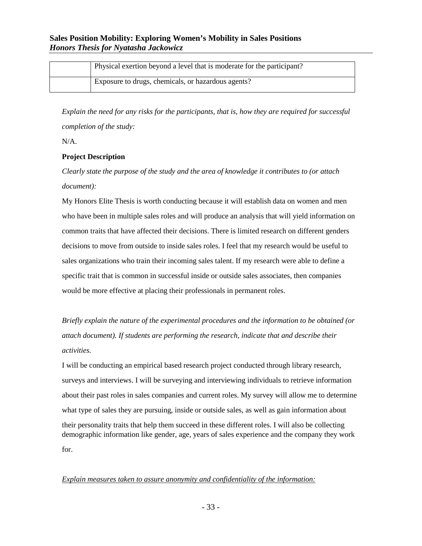| Physical exertion beyond a level that is moderate for the participant? |
|------------------------------------------------------------------------|
| Exposure to drugs, chemicals, or hazardous agents?                     |

*Explain the need for any risks for the participants, that is, how they are required for successful completion of the study:*

N/A.

#### **Project Description**

*Clearly state the purpose of the study and the area of knowledge it contributes to (or attach document):*

My Honors Elite Thesis is worth conducting because it will establish data on women and men who have been in multiple sales roles and will produce an analysis that will yield information on common traits that have affected their decisions. There is limited research on different genders decisions to move from outside to inside sales roles. I feel that my research would be useful to sales organizations who train their incoming sales talent. If my research were able to define a specific trait that is common in successful inside or outside sales associates, then companies would be more effective at placing their professionals in permanent roles.

*Briefly explain the nature of the experimental procedures and the information to be obtained (or attach document). If students are performing the research, indicate that and describe their activities.*

I will be conducting an empirical based research project conducted through library research, surveys and interviews. I will be surveying and interviewing individuals to retrieve information about their past roles in sales companies and current roles. My survey will allow me to determine what type of sales they are pursuing, inside or outside sales, as well as gain information about their personality traits that help them succeed in these different roles. I will also be collecting demographic information like gender, age, years of sales experience and the company they work for.

#### *Explain measures taken to assure anonymity and confidentiality of the information:*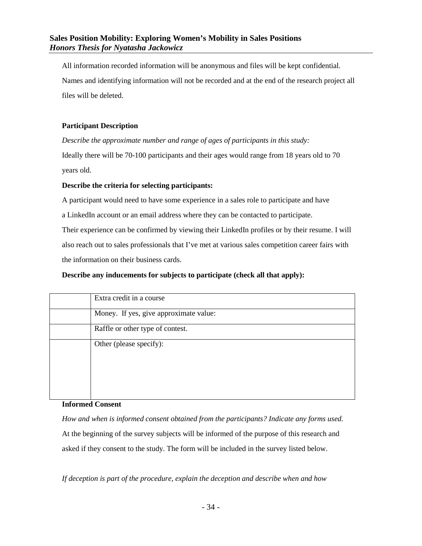All information recorded information will be anonymous and files will be kept confidential. Names and identifying information will not be recorded and at the end of the research project all files will be deleted.

#### **Participant Description**

*Describe the approximate number and range of ages of participants in this study:*

Ideally there will be 70-100 participants and their ages would range from 18 years old to 70 years old.

#### **Describe the criteria for selecting participants:**

A participant would need to have some experience in a sales role to participate and have

a LinkedIn account or an email address where they can be contacted to participate.

Their experience can be confirmed by viewing their LinkedIn profiles or by their resume. I will also reach out to sales professionals that I've met at various sales competition career fairs with the information on their business cards.

#### **Describe any inducements for subjects to participate (check all that apply):**

| Extra credit in a course               |
|----------------------------------------|
| Money. If yes, give approximate value: |
| Raffle or other type of contest.       |
| Other (please specify):                |

#### **Informed Consent**

*How and when is informed consent obtained from the participants? Indicate any forms used.* At the beginning of the survey subjects will be informed of the purpose of this research and asked if they consent to the study. The form will be included in the survey listed below.

*If deception is part of the procedure, explain the deception and describe when and how*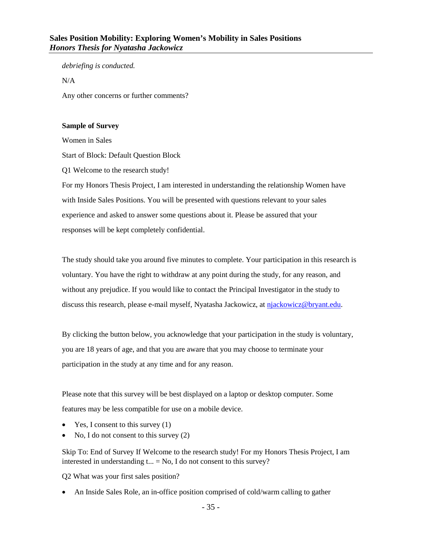*debriefing is conducted.*

N/A

Any other concerns or further comments?

#### **Sample of Survey**

Women in Sales

Start of Block: Default Question Block

Q1 Welcome to the research study!

For my Honors Thesis Project, I am interested in understanding the relationship Women have with Inside Sales Positions. You will be presented with questions relevant to your sales experience and asked to answer some questions about it. Please be assured that your responses will be kept completely confidential.

The study should take you around five minutes to complete. Your participation in this research is voluntary. You have the right to withdraw at any point during the study, for any reason, and without any prejudice. If you would like to contact the Principal Investigator in the study to discuss this research, please e-mail myself, Nyatasha Jackowicz, at [njackowicz@bryant.edu.](mailto:njackowicz@bryant.edu)

By clicking the button below, you acknowledge that your participation in the study is voluntary, you are 18 years of age, and that you are aware that you may choose to terminate your participation in the study at any time and for any reason.

Please note that this survey will be best displayed on a laptop or desktop computer. Some features may be less compatible for use on a mobile device.

- Yes, I consent to this survey  $(1)$
- No, I do not consent to this survey (2)

Skip To: End of Survey If Welcome to the research study! For my Honors Thesis Project, I am interested in understanding  $t_{\text{...}} = No$ , I do not consent to this survey?

Q2 What was your first sales position?

• An Inside Sales Role, an in-office position comprised of cold/warm calling to gather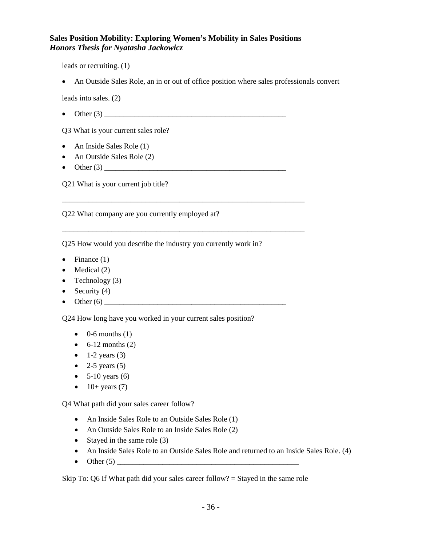leads or recruiting. (1)

• An Outside Sales Role, an in or out of office position where sales professionals convert

leads into sales. (2)

• Other (3) \_\_\_\_\_\_\_\_\_\_\_\_\_\_\_\_\_\_\_\_\_\_\_\_\_\_\_\_\_\_\_\_\_\_\_\_\_\_\_\_\_\_\_\_\_\_\_\_

\_\_\_\_\_\_\_\_\_\_\_\_\_\_\_\_\_\_\_\_\_\_\_\_\_\_\_\_\_\_\_\_\_\_\_\_\_\_\_\_\_\_\_\_\_\_\_\_\_\_\_\_\_\_\_\_\_\_\_\_\_\_\_\_

\_\_\_\_\_\_\_\_\_\_\_\_\_\_\_\_\_\_\_\_\_\_\_\_\_\_\_\_\_\_\_\_\_\_\_\_\_\_\_\_\_\_\_\_\_\_\_\_\_\_\_\_\_\_\_\_\_\_\_\_\_\_\_\_

Q3 What is your current sales role?

- An Inside Sales Role (1)
- An Outside Sales Role (2)
- Other  $(3)$

Q21 What is your current job title?

Q22 What company are you currently employed at?

Q25 How would you describe the industry you currently work in?

- Finance  $(1)$
- $\bullet$  Medical (2)
- Technology  $(3)$
- Security  $(4)$
- Other  $(6)$

Q24 How long have you worked in your current sales position?

- $\bullet$  0-6 months (1)
- $\bullet$  6-12 months (2)
- $\bullet$  1-2 years (3)
- 2-5 years  $(5)$
- $5-10$  years  $(6)$
- $\bullet$  10+ years (7)

Q4 What path did your sales career follow?

- An Inside Sales Role to an Outside Sales Role (1)
- An Outside Sales Role to an Inside Sales Role (2)
- Stayed in the same role (3)
- An Inside Sales Role to an Outside Sales Role and returned to an Inside Sales Role. (4)
- Other  $(5)$

Skip To:  $Q6$  If What path did your sales career follow? = Stayed in the same role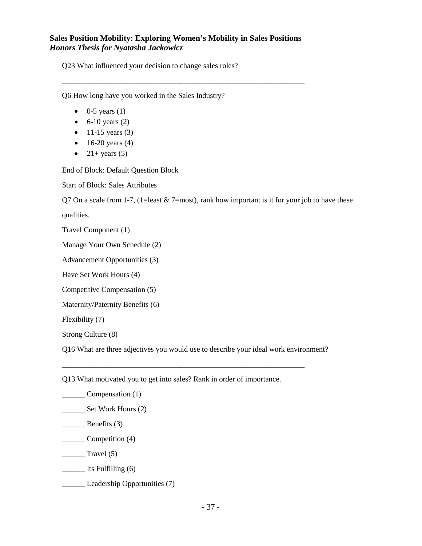\_\_\_\_\_\_\_\_\_\_\_\_\_\_\_\_\_\_\_\_\_\_\_\_\_\_\_\_\_\_\_\_\_\_\_\_\_\_\_\_\_\_\_\_\_\_\_\_\_\_\_\_\_\_\_\_\_\_\_\_\_\_\_\_

Q23 What influenced your decision to change sales roles?

Q6 How long have you worked in the Sales Industry?

- $\bullet$  0-5 years (1)
- $\bullet$  6-10 years (2)
- $11-15$  years (3)
- $16-20$  years (4)
- $21+ \text{years}$  (5)

End of Block: Default Question Block

Start of Block: Sales Attributes

Q7 On a scale from 1-7, (1=least  $& 7$ =most), rank how important is it for your job to have these

qualities.

Travel Component (1)

Manage Your Own Schedule (2)

Advancement Opportunities (3)

Have Set Work Hours (4)

Competitive Compensation (5)

Maternity/Paternity Benefits (6)

Flexibility (7)

Strong Culture (8)

Q16 What are three adjectives you would use to describe your ideal work environment?

Q13 What motivated you to get into sales? Rank in order of importance.

\_\_\_\_\_\_\_\_\_\_\_\_\_\_\_\_\_\_\_\_\_\_\_\_\_\_\_\_\_\_\_\_\_\_\_\_\_\_\_\_\_\_\_\_\_\_\_\_\_\_\_\_\_\_\_\_\_\_\_\_\_\_\_\_

\_\_\_\_\_\_ Compensation (1)

- \_\_\_\_\_\_\_\_ Set Work Hours (2)
- \_\_\_\_\_\_ Benefits (3)
- \_\_\_\_\_\_ Competition (4)

 $\frac{1}{\sqrt{1-\frac{1}{c^2}}}$  Travel (5)

\_\_\_\_\_\_ Its Fulfilling (6)

**Leadership Opportunities (7)**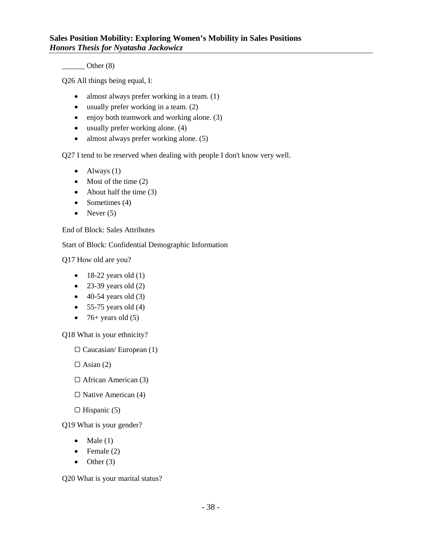$\frac{\ }{\ }$  Other (8)

Q26 All things being equal, I:

- almost always prefer working in a team. (1)
- usually prefer working in a team. (2)
- enjoy both teamwork and working alone. (3)
- usually prefer working alone. (4)
- almost always prefer working alone. (5)

Q27 I tend to be reserved when dealing with people I don't know very well.

- $\bullet$  Always (1)
- Most of the time (2)
- About half the time  $(3)$
- Sometimes (4)
- Never  $(5)$

End of Block: Sales Attributes

Start of Block: Confidential Demographic Information

Q17 How old are you?

- $\bullet$  18-22 years old (1)
- 23-39 years old  $(2)$
- $\bullet$  40-54 years old (3)
- $\bullet$  55-75 years old (4)
- 76+ years old  $(5)$

Q18 What is your ethnicity?

 $\Box$  Caucasian/ European (1)

 $\Box$  Asian (2)

- ▢ African American (3)
- ▢ Native American (4)
- $\Box$  Hispanic (5)

Q19 What is your gender?

- Male  $(1)$
- Female  $(2)$
- $\bullet$  Other (3)

Q20 What is your marital status?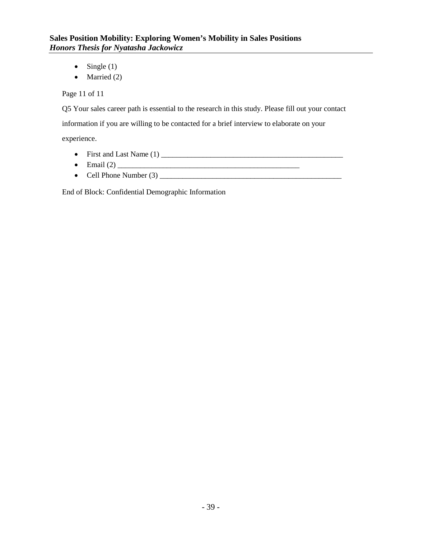- Single  $(1)$
- Married (2)

Page 11 of 11

Q5 Your sales career path is essential to the research in this study. Please fill out your contact information if you are willing to be contacted for a brief interview to elaborate on your experience.

• First and Last Name (1) \_\_\_\_\_\_\_\_\_\_\_\_\_\_\_\_\_\_\_\_\_\_\_\_\_\_\_\_\_\_\_\_\_\_\_\_\_\_\_\_\_\_\_\_\_\_\_\_

- Email  $(2)$
- Cell Phone Number (3) \_\_\_\_\_\_\_\_\_\_\_\_\_\_\_\_\_\_\_\_\_\_\_\_\_\_\_\_\_\_\_\_\_\_\_\_\_\_\_\_\_\_\_\_\_\_\_\_

End of Block: Confidential Demographic Information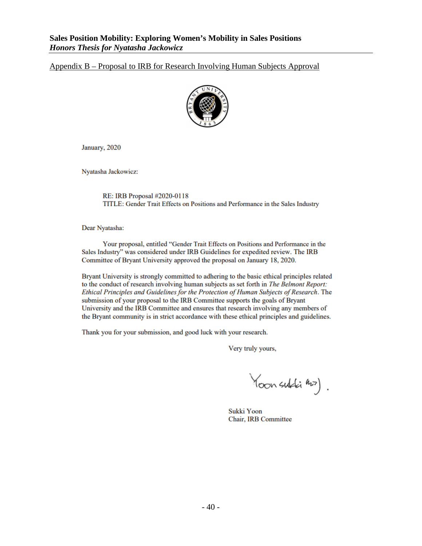#### Appendix B – Proposal to IRB for Research Involving Human Subjects Approval



January, 2020

Nyatasha Jackowicz:

RE: IRB Proposal #2020-0118 TITLE: Gender Trait Effects on Positions and Performance in the Sales Industry

Dear Nyatasha:

Your proposal, entitled "Gender Trait Effects on Positions and Performance in the Sales Industry" was considered under IRB Guidelines for expedited review. The IRB Committee of Bryant University approved the proposal on January 18, 2020.

Bryant University is strongly committed to adhering to the basic ethical principles related to the conduct of research involving human subjects as set forth in The Belmont Report: Ethical Principles and Guidelines for the Protection of Human Subjects of Research. The submission of your proposal to the IRB Committee supports the goals of Bryant University and the IRB Committee and ensures that research involving any members of the Bryant community is in strict accordance with these ethical principles and guidelines.

Thank you for your submission, and good luck with your research.

Very truly yours,

Yoon subli min).

Sukki Yoon Chair, IRB Committee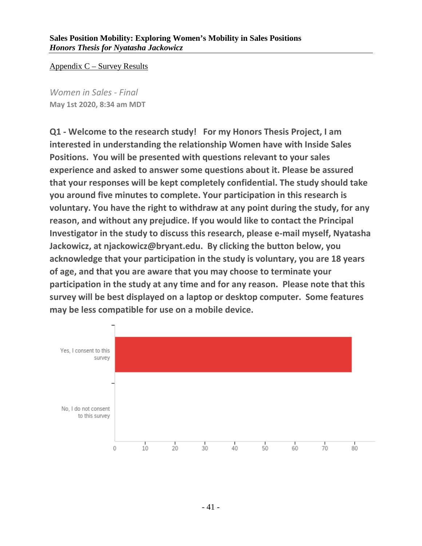Appendix C – Survey Results

*Women in Sales - Final* **May 1st 2020, 8:34 am MDT**

**Q1 - Welcome to the research study! For my Honors Thesis Project, I am interested in understanding the relationship Women have with Inside Sales Positions. You will be presented with questions relevant to your sales experience and asked to answer some questions about it. Please be assured that your responses will be kept completely confidential. The study should take you around five minutes to complete. Your participation in this research is voluntary. You have the right to withdraw at any point during the study, for any reason, and without any prejudice. If you would like to contact the Principal Investigator in the study to discuss this research, please e-mail myself, Nyatasha Jackowicz, at njackowicz@bryant.edu. By clicking the button below, you acknowledge that your participation in the study is voluntary, you are 18 years of age, and that you are aware that you may choose to terminate your participation in the study at any time and for any reason. Please note that this survey will be best displayed on a laptop or desktop computer. Some features may be less compatible for use on a mobile device.**

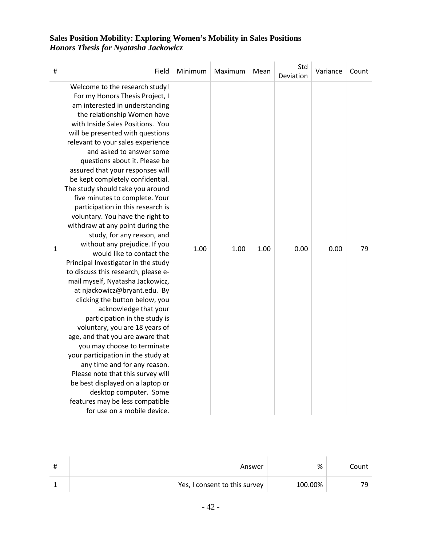| # | Field                                                                                                                                                                                                                                                                                                                                                                                                                                                                                                                                                                                                                                                                                                                                                                                                                                                                                                                                                                                                                                                                                                                                                                                                                                                             | Minimum | Maximum | Mean | Std<br>Deviation | Variance | Count |
|---|-------------------------------------------------------------------------------------------------------------------------------------------------------------------------------------------------------------------------------------------------------------------------------------------------------------------------------------------------------------------------------------------------------------------------------------------------------------------------------------------------------------------------------------------------------------------------------------------------------------------------------------------------------------------------------------------------------------------------------------------------------------------------------------------------------------------------------------------------------------------------------------------------------------------------------------------------------------------------------------------------------------------------------------------------------------------------------------------------------------------------------------------------------------------------------------------------------------------------------------------------------------------|---------|---------|------|------------------|----------|-------|
| 1 | Welcome to the research study!<br>For my Honors Thesis Project, I<br>am interested in understanding<br>the relationship Women have<br>with Inside Sales Positions. You<br>will be presented with questions<br>relevant to your sales experience<br>and asked to answer some<br>questions about it. Please be<br>assured that your responses will<br>be kept completely confidential.<br>The study should take you around<br>five minutes to complete. Your<br>participation in this research is<br>voluntary. You have the right to<br>withdraw at any point during the<br>study, for any reason, and<br>without any prejudice. If you<br>would like to contact the<br>Principal Investigator in the study<br>to discuss this research, please e-<br>mail myself, Nyatasha Jackowicz,<br>at njackowicz@bryant.edu. By<br>clicking the button below, you<br>acknowledge that your<br>participation in the study is<br>voluntary, you are 18 years of<br>age, and that you are aware that<br>you may choose to terminate<br>your participation in the study at<br>any time and for any reason.<br>Please note that this survey will<br>be best displayed on a laptop or<br>desktop computer. Some<br>features may be less compatible<br>for use on a mobile device. | 1.00    | 1.00    | 1.00 | 0.00             | 0.00     | 79    |

| Answer                        | %       | Count |
|-------------------------------|---------|-------|
| Yes, I consent to this survey | 100.00% |       |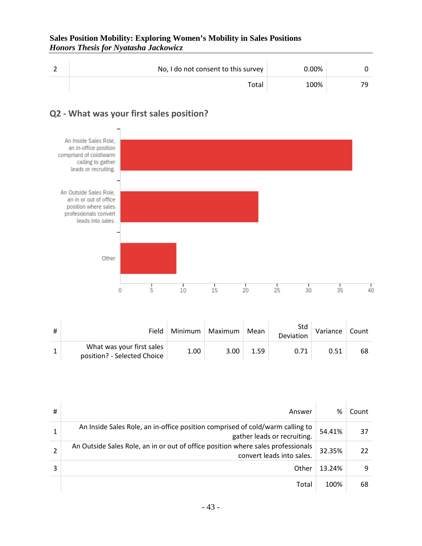| No, I do not consent to this survey | $0.00\%$ |  |
|-------------------------------------|----------|--|
| Total                               | 100%     |  |



### **Q2 - What was your first sales position?**

| Field                                                    | Minimum | Maximum | Mean | Std<br>Deviation | Variance | Count |
|----------------------------------------------------------|---------|---------|------|------------------|----------|-------|
| What was your first sales<br>position? - Selected Choice | 1.00    | 3.00    | 1.59 |                  |          | 68    |

| # | Answer                                                                                                        | %      | Count |
|---|---------------------------------------------------------------------------------------------------------------|--------|-------|
|   | An Inside Sales Role, an in-office position comprised of cold/warm calling to<br>gather leads or recruiting.  | 54.41% | 37    |
|   | An Outside Sales Role, an in or out of office position where sales professionals<br>convert leads into sales. | 32.35% | 22    |
|   | Other                                                                                                         | 13.24% | 9     |
|   | Total                                                                                                         | 100%   | 68    |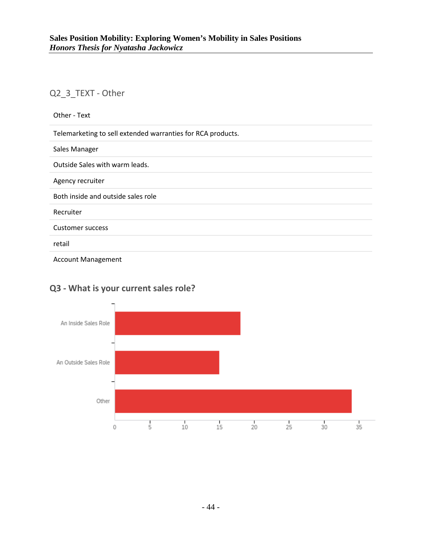### Q2\_3\_TEXT - Other

| Other - Text                                                |
|-------------------------------------------------------------|
| Telemarketing to sell extended warranties for RCA products. |
| Sales Manager                                               |
| Outside Sales with warm leads.                              |
| Agency recruiter                                            |
| Both inside and outside sales role                          |
| Recruiter                                                   |
| <b>Customer success</b>                                     |
| retail                                                      |
| <b>Account Management</b>                                   |



# **Q3 - What is your current sales role?**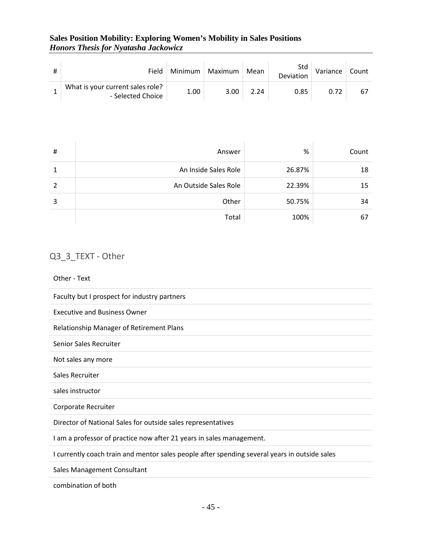| Field                                                 | Minimum | Maximum | Mean | Std<br>Deviation | Variance | Count |
|-------------------------------------------------------|---------|---------|------|------------------|----------|-------|
| What is your current sales role?<br>- Selected Choice | 1.00    | 3.00    | 2.24 | 0.85             |          |       |

| # | Answer                | %      | Count |
|---|-----------------------|--------|-------|
|   | An Inside Sales Role  | 26.87% | 18    |
|   | An Outside Sales Role | 22.39% | 15    |
| 3 | Other                 | 50.75% | 34    |
|   | Total                 | 100%   | 67    |

# Q3\_3\_TEXT - Other

#### Other - Text

| Faculty but I prospect for industry partners                                                  |
|-----------------------------------------------------------------------------------------------|
| <b>Executive and Business Owner</b>                                                           |
| <b>Relationship Manager of Retirement Plans</b>                                               |
| Senior Sales Recruiter                                                                        |
| Not sales any more                                                                            |
| Sales Recruiter                                                                               |
| sales instructor                                                                              |
| Corporate Recruiter                                                                           |
| Director of National Sales for outside sales representatives                                  |
| I am a professor of practice now after 21 years in sales management.                          |
| I currently coach train and mentor sales people after spending several years in outside sales |
| Sales Management Consultant                                                                   |

combination of both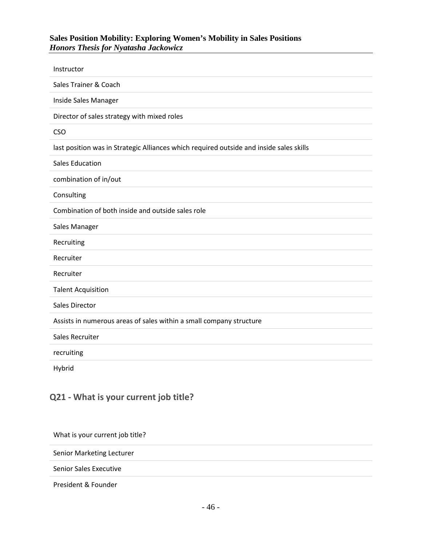| Instructor                                                                              |
|-----------------------------------------------------------------------------------------|
| Sales Trainer & Coach                                                                   |
| Inside Sales Manager                                                                    |
| Director of sales strategy with mixed roles                                             |
| <b>CSO</b>                                                                              |
| last position was in Strategic Alliances which required outside and inside sales skills |
| <b>Sales Education</b>                                                                  |
| combination of in/out                                                                   |
| Consulting                                                                              |
| Combination of both inside and outside sales role                                       |
|                                                                                         |
| Sales Manager                                                                           |
| Recruiting                                                                              |
| Recruiter                                                                               |
| Recruiter                                                                               |
| <b>Talent Acquisition</b>                                                               |
| <b>Sales Director</b>                                                                   |
| Assists in numerous areas of sales within a small company structure                     |
| Sales Recruiter                                                                         |
| recruiting                                                                              |

### **Q21 - What is your current job title?**

What is your current job title?

Senior Marketing Lecturer

Senior Sales Executive

President & Founder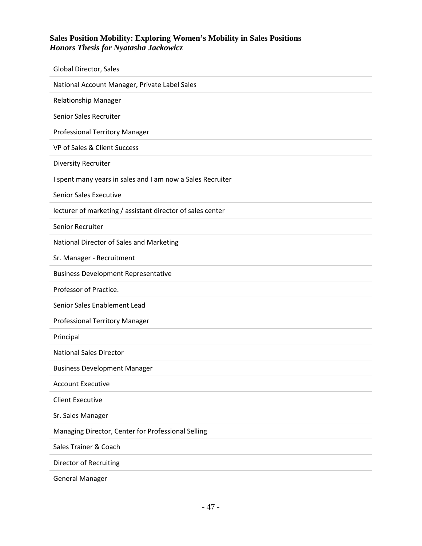| Global Director, Sales                                     |
|------------------------------------------------------------|
| National Account Manager, Private Label Sales              |
| <b>Relationship Manager</b>                                |
| Senior Sales Recruiter                                     |
| Professional Territory Manager                             |
| VP of Sales & Client Success                               |
| <b>Diversity Recruiter</b>                                 |
| I spent many years in sales and I am now a Sales Recruiter |
| <b>Senior Sales Executive</b>                              |
| lecturer of marketing / assistant director of sales center |
| Senior Recruiter                                           |
| National Director of Sales and Marketing                   |
| Sr. Manager - Recruitment                                  |
| <b>Business Development Representative</b>                 |
| Professor of Practice.                                     |
| Senior Sales Enablement Lead                               |
| <b>Professional Territory Manager</b>                      |
| Principal                                                  |
| <b>National Sales Director</b>                             |
| <b>Business Development Manager</b>                        |
| <b>Account Executive</b>                                   |
| <b>Client Executive</b>                                    |
| Sr. Sales Manager                                          |
| Managing Director, Center for Professional Selling         |
| Sales Trainer & Coach                                      |
| <b>Director of Recruiting</b>                              |
| <b>General Manager</b>                                     |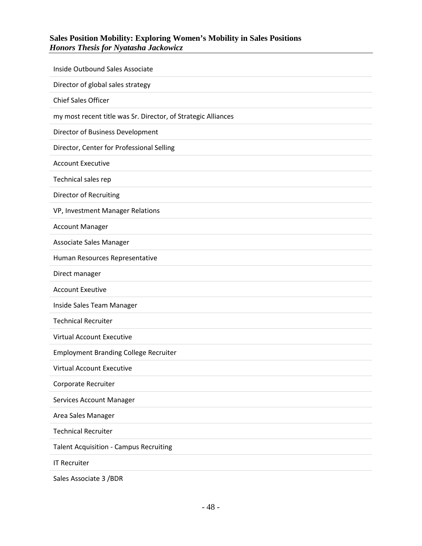| Inside Outbound Sales Associate                               |
|---------------------------------------------------------------|
| Director of global sales strategy                             |
| <b>Chief Sales Officer</b>                                    |
| my most recent title was Sr. Director, of Strategic Alliances |
| Director of Business Development                              |
| Director, Center for Professional Selling                     |
| <b>Account Executive</b>                                      |
| Technical sales rep                                           |
| <b>Director of Recruiting</b>                                 |
| VP, Investment Manager Relations                              |
| <b>Account Manager</b>                                        |
| Associate Sales Manager                                       |
| Human Resources Representative                                |
| Direct manager                                                |
| <b>Account Exeutive</b>                                       |
| Inside Sales Team Manager                                     |
| <b>Technical Recruiter</b>                                    |
| <b>Virtual Account Executive</b>                              |
| <b>Employment Branding College Recruiter</b>                  |
| Virtual Account Executive                                     |
| Corporate Recruiter                                           |
| Services Account Manager                                      |
| Area Sales Manager                                            |
| <b>Technical Recruiter</b>                                    |
| <b>Talent Acquisition - Campus Recruiting</b>                 |
| <b>IT Recruiter</b>                                           |
| Sales Associate 3 / BDR                                       |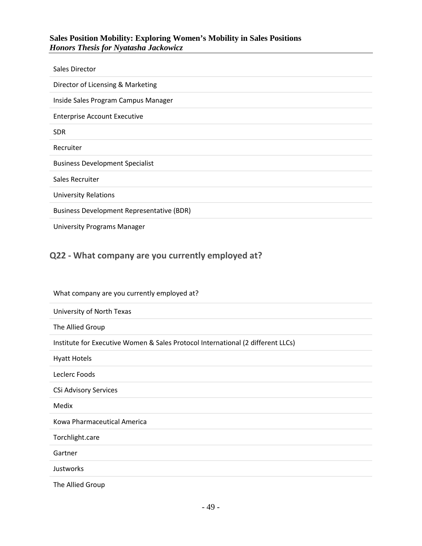| Sales Director                                   |
|--------------------------------------------------|
| Director of Licensing & Marketing                |
| Inside Sales Program Campus Manager              |
| <b>Enterprise Account Executive</b>              |
| <b>SDR</b>                                       |
| Recruiter                                        |
| <b>Business Development Specialist</b>           |
| Sales Recruiter                                  |
| <b>University Relations</b>                      |
| <b>Business Development Representative (BDR)</b> |
| <b>University Programs Manager</b>               |

# **Q22 - What company are you currently employed at?**

# What company are you currently employed at? University of North Texas The Allied Group Institute for Executive Women & Sales Protocol International (2 different LLCs) Hyatt Hotels Leclerc Foods CSi Advisory Services Medix Kowa Pharmaceutical America Torchlight.care Gartner Justworks The Allied Group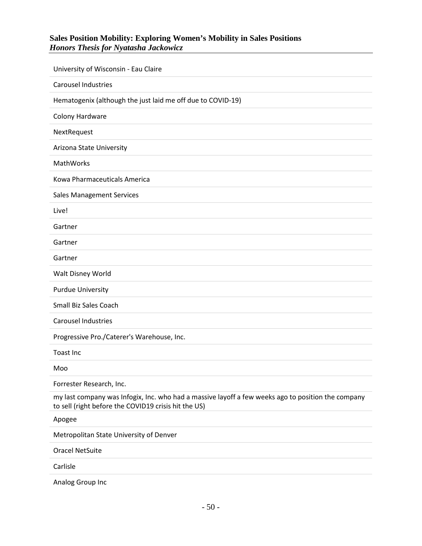| University of Wisconsin - Eau Claire                                                                                                                       |
|------------------------------------------------------------------------------------------------------------------------------------------------------------|
| <b>Carousel Industries</b>                                                                                                                                 |
| Hematogenix (although the just laid me off due to COVID-19)                                                                                                |
| Colony Hardware                                                                                                                                            |
| NextRequest                                                                                                                                                |
| Arizona State University                                                                                                                                   |
| MathWorks                                                                                                                                                  |
| Kowa Pharmaceuticals America                                                                                                                               |
| <b>Sales Management Services</b>                                                                                                                           |
| Live!                                                                                                                                                      |
| Gartner                                                                                                                                                    |
| Gartner                                                                                                                                                    |
| Gartner                                                                                                                                                    |
| Walt Disney World                                                                                                                                          |
| <b>Purdue University</b>                                                                                                                                   |
| Small Biz Sales Coach                                                                                                                                      |
| <b>Carousel Industries</b>                                                                                                                                 |
| Progressive Pro./Caterer's Warehouse, Inc.                                                                                                                 |
| <b>Toast Inc</b>                                                                                                                                           |
| Moo                                                                                                                                                        |
| Forrester Research, Inc.                                                                                                                                   |
| my last company was Infogix, Inc. who had a massive layoff a few weeks ago to position the company<br>to sell (right before the COVID19 crisis hit the US) |
| Apogee                                                                                                                                                     |
| Metropolitan State University of Denver                                                                                                                    |
| <b>Oracel NetSuite</b>                                                                                                                                     |
| Carlisle                                                                                                                                                   |
| Analog Group Inc                                                                                                                                           |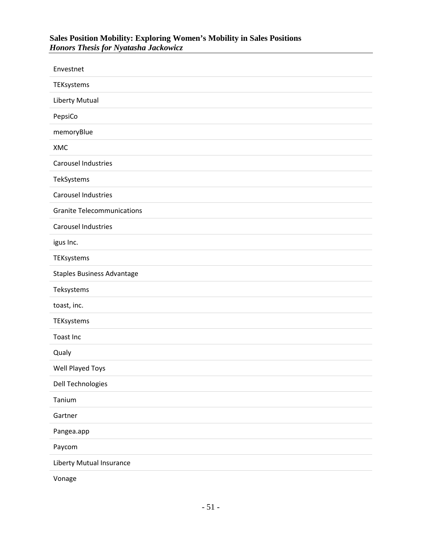| Envestnet                         |
|-----------------------------------|
| TEKsystems                        |
| Liberty Mutual                    |
| PepsiCo                           |
| memoryBlue                        |
| XMC                               |
| <b>Carousel Industries</b>        |
| TekSystems                        |
| Carousel Industries               |
| <b>Granite Telecommunications</b> |
| Carousel Industries               |
| igus Inc.                         |
| TEKsystems                        |
| <b>Staples Business Advantage</b> |
| Teksystems                        |
| toast, inc.                       |
| TEKsystems                        |
| Toast Inc                         |
| Qualy                             |
| Well Played Toys                  |
| Dell Technologies                 |
| Tanium                            |
| Gartner                           |
| Pangea.app                        |
| Paycom                            |
| Liberty Mutual Insurance          |
|                                   |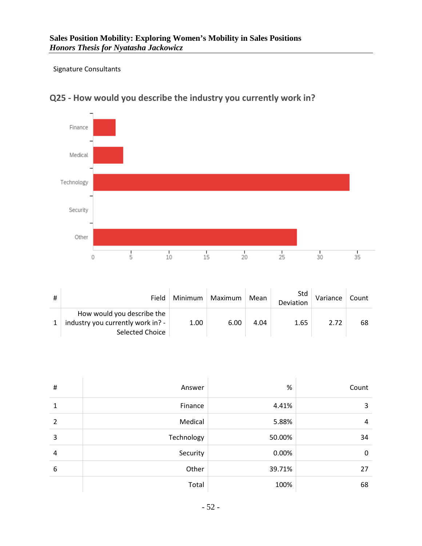#### Signature Consultants

í.



# **Q25 - How would you describe the industry you currently work in?**

| Field                                                                              | Minimum | Maximum | Mean | Std<br>Deviation | Variance | Count |
|------------------------------------------------------------------------------------|---------|---------|------|------------------|----------|-------|
| How would you describe the<br>industry you currently work in? -<br>Selected Choice | 1.00    | 6.00    | 4.04 | 1.65             | 2.72     | 68    |

| #              | Answer     | $\%$   | Count |
|----------------|------------|--------|-------|
| 1              | Finance    | 4.41%  | 3     |
| $\overline{2}$ | Medical    | 5.88%  | 4     |
| 3              | Technology | 50.00% | 34    |
| 4              | Security   | 0.00%  | 0     |
| 6              | Other      | 39.71% | 27    |
|                | Total      | 100%   | 68    |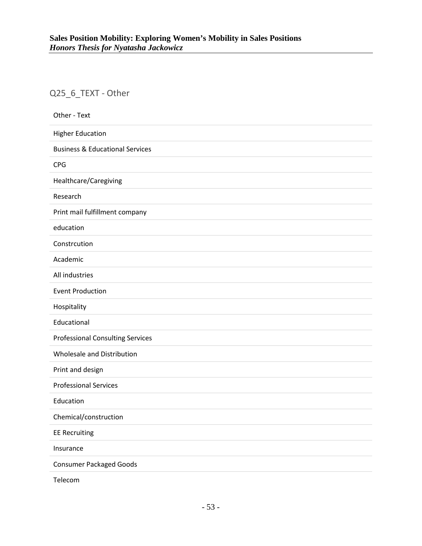# Q25\_6\_TEXT - Other

| Other - Text                               |
|--------------------------------------------|
| <b>Higher Education</b>                    |
| <b>Business &amp; Educational Services</b> |
| <b>CPG</b>                                 |
| Healthcare/Caregiving                      |
| Research                                   |
| Print mail fulfillment company             |
| education                                  |
| Constrcution                               |
| Academic                                   |
| All industries                             |
| <b>Event Production</b>                    |
| Hospitality                                |
| Educational                                |
| <b>Professional Consulting Services</b>    |
| Wholesale and Distribution                 |
| Print and design                           |
| <b>Professional Services</b>               |
| Education                                  |
| Chemical/construction                      |
| <b>EE Recruiting</b>                       |
| Insurance                                  |
| <b>Consumer Packaged Goods</b>             |
| Telecom                                    |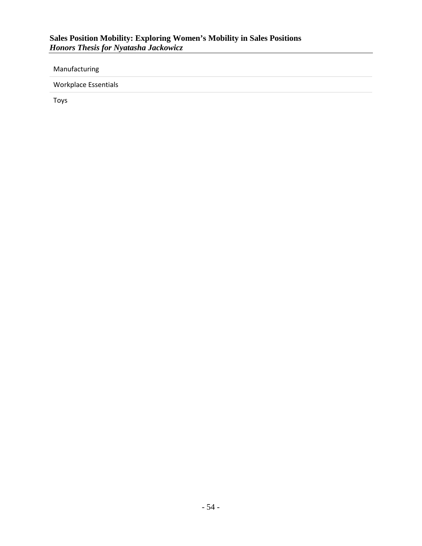Manufacturing

Workplace Essentials

Toys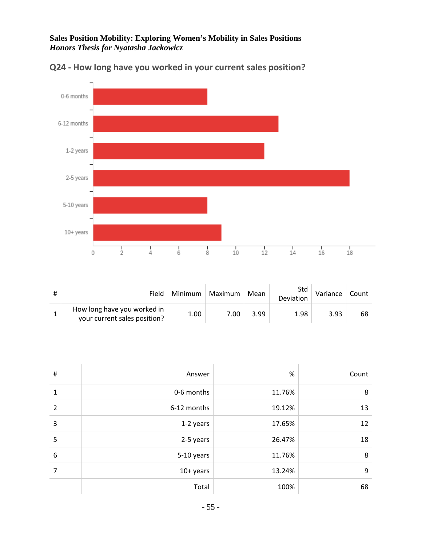

**Q24 - How long have you worked in your current sales position?**

| Field                                                       | Minimum | Maximum | Mean | Std<br>Deviation | Variance | Count |
|-------------------------------------------------------------|---------|---------|------|------------------|----------|-------|
| How long have you worked in<br>your current sales position? | 1.00    | 7.00    | 3.99 | 1.98             | 3.93     | 68    |

| $\sharp$ | Answer      | %      | Count |
|----------|-------------|--------|-------|
| 1        | 0-6 months  | 11.76% | 8     |
| 2        | 6-12 months | 19.12% | 13    |
| 3        | 1-2 years   | 17.65% | 12    |
| 5        | 2-5 years   | 26.47% | 18    |
| 6        | 5-10 years  | 11.76% | 8     |
| 7        | $10+$ years | 13.24% | 9     |
|          | Total       | 100%   | 68    |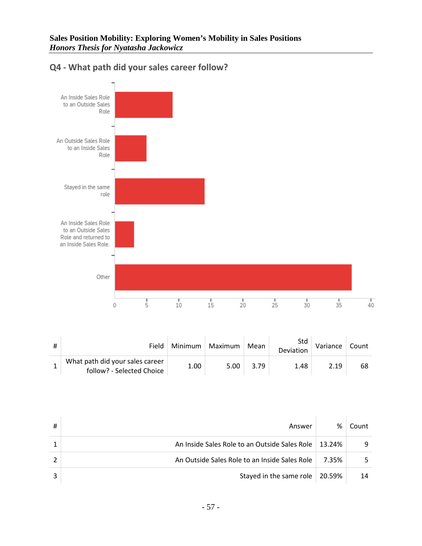

### **Q4 - What path did your sales career follow?**

| Field                                                        | Minimum | Maximum | Mean | Std<br>Deviation | Variance | Count |
|--------------------------------------------------------------|---------|---------|------|------------------|----------|-------|
| What path did your sales career<br>follow? - Selected Choice | 1.00    | 5.00    | 3.79 | 1.48             | 2 19     | 68    |

| # | Answer                                                 | %     | Count |
|---|--------------------------------------------------------|-------|-------|
|   | An Inside Sales Role to an Outside Sales Role   13.24% |       | q     |
|   | An Outside Sales Role to an Inside Sales Role          | 7.35% |       |
|   | Stayed in the same role $\vert$ 20.59%                 |       | 14    |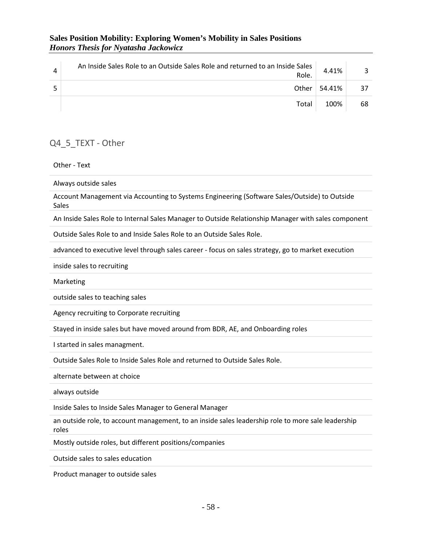| An Inside Sales Role to an Outside Sales Role and returned to an Inside Sales<br>Role. | 4.41%                |    |
|----------------------------------------------------------------------------------------|----------------------|----|
|                                                                                        | Other $\vert$ 54.41% | 37 |
| Total                                                                                  | 100%                 | 68 |

### Q4\_5\_TEXT - Other

Other - Text

Always outside sales

Account Management via Accounting to Systems Engineering (Software Sales/Outside) to Outside Sales

An Inside Sales Role to Internal Sales Manager to Outside Relationship Manager with sales component

Outside Sales Role to and Inside Sales Role to an Outside Sales Role.

advanced to executive level through sales career - focus on sales strategy, go to market execution

inside sales to recruiting

Marketing

outside sales to teaching sales

Agency recruiting to Corporate recruiting

Stayed in inside sales but have moved around from BDR, AE, and Onboarding roles

I started in sales managment.

Outside Sales Role to Inside Sales Role and returned to Outside Sales Role.

alternate between at choice

always outside

Inside Sales to Inside Sales Manager to General Manager

an outside role, to account management, to an inside sales leadership role to more sale leadership roles

Mostly outside roles, but different positions/companies

Outside sales to sales education

Product manager to outside sales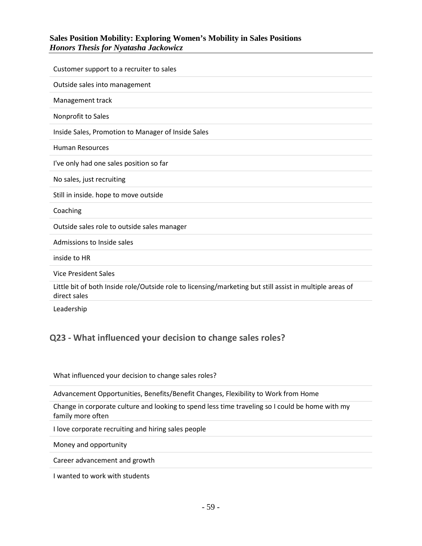| Customer support to a recruiter to sales                                                                                 |
|--------------------------------------------------------------------------------------------------------------------------|
| Outside sales into management                                                                                            |
| Management track                                                                                                         |
| Nonprofit to Sales                                                                                                       |
| Inside Sales, Promotion to Manager of Inside Sales                                                                       |
| <b>Human Resources</b>                                                                                                   |
| I've only had one sales position so far                                                                                  |
| No sales, just recruiting                                                                                                |
| Still in inside. hope to move outside                                                                                    |
| Coaching                                                                                                                 |
| Outside sales role to outside sales manager                                                                              |
| Admissions to Inside sales                                                                                               |
| inside to HR                                                                                                             |
| <b>Vice President Sales</b>                                                                                              |
| Little bit of both Inside role/Outside role to licensing/marketing but still assist in multiple areas of<br>direct sales |
| Leadership                                                                                                               |

### **Q23 - What influenced your decision to change sales roles?**

What influenced your decision to change sales roles?

Advancement Opportunities, Benefits/Benefit Changes, Flexibility to Work from Home

Change in corporate culture and looking to spend less time traveling so I could be home with my family more often

I love corporate recruiting and hiring sales people

Money and opportunity

Career advancement and growth

I wanted to work with students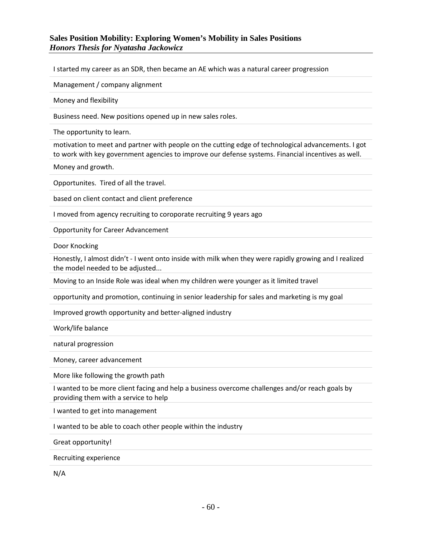I started my career as an SDR, then became an AE which was a natural career progression

Management / company alignment

Money and flexibility

Business need. New positions opened up in new sales roles.

The opportunity to learn.

motivation to meet and partner with people on the cutting edge of technological advancements. I got to work with key government agencies to improve our defense systems. Financial incentives as well.

Money and growth.

Opportunites. Tired of all the travel.

based on client contact and client preference

I moved from agency recruiting to coroporate recruiting 9 years ago

Opportunity for Career Advancement

Door Knocking

Honestly, I almost didn't - I went onto inside with milk when they were rapidly growing and I realized the model needed to be adjusted...

Moving to an Inside Role was ideal when my children were younger as it limited travel

opportunity and promotion, continuing in senior leadership for sales and marketing is my goal

Improved growth opportunity and better-aligned industry

Work/life balance

natural progression

Money, career advancement

More like following the growth path

I wanted to be more client facing and help a business overcome challenges and/or reach goals by providing them with a service to help

I wanted to get into management

I wanted to be able to coach other people within the industry

Great opportunity!

Recruiting experience

N/A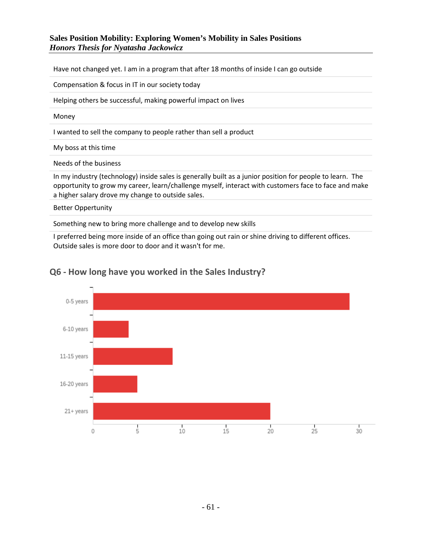Have not changed yet. I am in a program that after 18 months of inside I can go outside

Compensation & focus in IT in our society today

Helping others be successful, making powerful impact on lives

Money

I wanted to sell the company to people rather than sell a product

My boss at this time

Needs of the business

In my industry (technology) inside sales is generally built as a junior position for people to learn. The opportunity to grow my career, learn/challenge myself, interact with customers face to face and make a higher salary drove my change to outside sales.

Better Oppertunity

Something new to bring more challenge and to develop new skills

I preferred being more inside of an office than going out rain or shine driving to different offices. Outside sales is more door to door and it wasn't for me.



### **Q6 - How long have you worked in the Sales Industry?**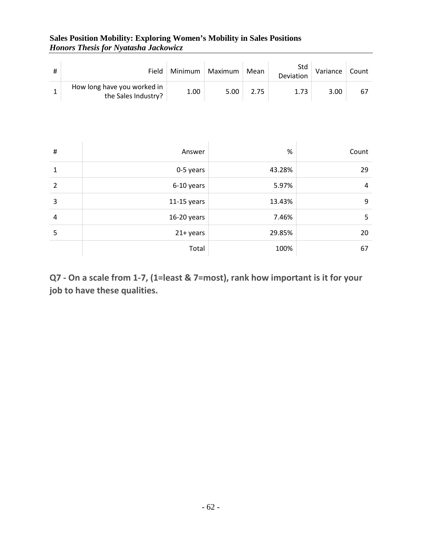| $\#$           | Field                                              | Minimum       | Maximum | Mean         | Std<br>Deviation | Variance | Count          |  |  |
|----------------|----------------------------------------------------|---------------|---------|--------------|------------------|----------|----------------|--|--|
| $\mathbf{1}$   | How long have you worked in<br>the Sales Industry? | 1.00          | 5.00    | 2.75         | 1.73             | 3.00     | 67             |  |  |
|                |                                                    |               |         |              |                  |          |                |  |  |
|                |                                                    |               |         |              |                  |          |                |  |  |
| $\sharp$       |                                                    | Answer        |         |              | $\%$             |          | Count          |  |  |
| $\mathbf{1}$   |                                                    | 0-5 years     |         | 29<br>43.28% |                  |          |                |  |  |
| $\overline{2}$ |                                                    | 6-10 years    |         |              | 5.97%            |          | $\overline{4}$ |  |  |
| 3              |                                                    | $11-15$ years |         |              | 13.43%           |          | 9              |  |  |
| 4              |                                                    | 16-20 years   |         |              | 7.46%            |          | 5              |  |  |
| 5              |                                                    | 21+ years     |         |              | 29.85%           |          | 20             |  |  |
|                |                                                    | Total         |         |              | 100%             |          | 67             |  |  |

**Q7 - On a scale from 1-7, (1=least & 7=most), rank how important is it for your job to have these qualities.**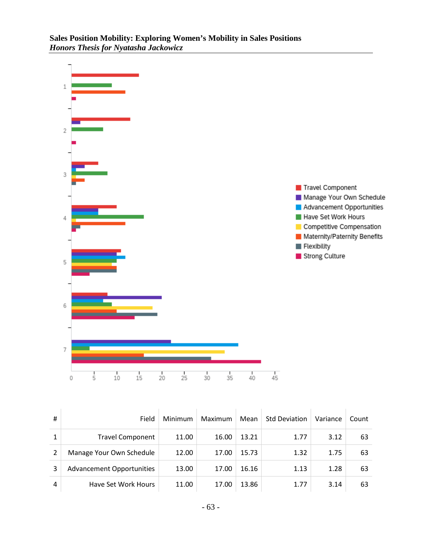

| # | Field                            | <b>Minimum</b> | Maximum | Mean  | <b>Std Deviation</b> | Variance | Count |
|---|----------------------------------|----------------|---------|-------|----------------------|----------|-------|
| 1 | <b>Travel Component</b>          | 11.00          | 16.00   | 13.21 | 1.77                 | 3.12     | 63    |
| າ | Manage Your Own Schedule         | 12.00          | 17.00   | 15.73 | 1.32                 | 1.75     | 63    |
| 3 | <b>Advancement Opportunities</b> | 13.00          | 17.00   | 16.16 | 1.13                 | 1.28     | 63    |
| 4 | Have Set Work Hours              | 11.00          | 17.00   | 13.86 | 1.77                 | 3.14     | 63    |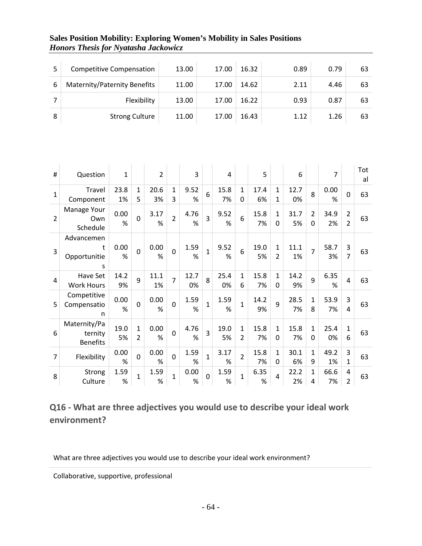|   | <b>Competitive Compensation</b> | 13.00 | 17.00 | 16.32 | 0.89 | 0.79 | 63 |
|---|---------------------------------|-------|-------|-------|------|------|----|
| 6 | Maternity/Paternity Benefits    | 11.00 | 17.00 | 14.62 | 2.11 | 4.46 | 63 |
|   | Flexibility                     | 13.00 | 17.00 | 16.22 | 0.93 | 0.87 | 63 |
| 8 | <b>Strong Culture</b>           | 11.00 | 17.00 | 16.43 | 1.12 | 1.26 | 63 |

| #              | Question                                   | $\mathbf{1}$ |                               | $\overline{2}$ |                   | 3          |                | 4          |                               | 5          |                               | 6          |                     | 7          |                                  | Tot<br>al |
|----------------|--------------------------------------------|--------------|-------------------------------|----------------|-------------------|------------|----------------|------------|-------------------------------|------------|-------------------------------|------------|---------------------|------------|----------------------------------|-----------|
| $\mathbf{1}$   | Travel<br>Component                        | 23.8<br>1%   | $\mathbf{1}$<br>5             | 20.6<br>3%     | $\mathbf{1}$<br>3 | 9.52<br>%  | 6              | 15.8<br>7% | $\mathbf{1}$<br>0             | 17.4<br>6% | $\mathbf{1}$<br>1             | 12.7<br>0% | 8                   | 0.00<br>%  | $\overline{0}$                   | 63        |
| $\overline{2}$ | Manage Your<br>Own<br>Schedule             | 0.00<br>%    | $\Omega$                      | 3.17<br>%      | $\overline{2}$    | 4.76<br>%  | 3              | 9.52<br>%  | 6                             | 15.8<br>7% | 1<br>0                        | 31.7<br>5% | $\overline{2}$<br>0 | 34.9<br>2% | $\overline{2}$<br>$\overline{2}$ | 63        |
| 3              | Advancemen<br>t<br>Opportunitie<br>S       | 0.00<br>%    | $\mathbf 0$                   | 0.00<br>%      | $\mathbf 0$       | 1.59<br>%  | $\mathbf{1}$   | 9.52<br>%  | 6                             | 19.0<br>5% | $\mathbf{1}$<br>$\mathcal{P}$ | 11.1<br>1% | $\overline{7}$      | 58.7<br>3% | 3<br>$\overline{7}$              | 63        |
| 4              | Have Set<br><b>Work Hours</b>              | 14.2<br>9%   | 9                             | 11.1<br>1%     | $\overline{7}$    | 12.7<br>0% | 8              | 25.4<br>0% | $\mathbf{1}$<br>6             | 15.8<br>7% | $\mathbf{1}$<br>$\Omega$      | 14.2<br>9% | 9                   | 6.35<br>%  | $\overline{4}$                   | 63        |
| 5              | Competitive<br>Compensatio<br>n            | 0.00<br>%    | $\overline{0}$                | 0.00<br>%      | $\overline{0}$    | 1.59<br>%  | $\overline{1}$ | 1.59<br>%  | $\mathbf{1}$                  | 14.2<br>9% | 9                             | 28.5<br>7% | 1<br>8              | 53.9<br>7% | 3<br>4                           | 63        |
| 6              | Maternity/Pa<br>ternity<br><b>Benefits</b> | 19.0<br>5%   | $\mathbf{1}$<br>$\mathcal{P}$ | 0.00<br>%      | $\mathbf 0$       | 4.76<br>%  | 3              | 19.0<br>5% | $\mathbf{1}$<br>$\mathcal{P}$ | 15.8<br>7% | $\mathbf{1}$<br>0             | 15.8<br>7% | $\mathbf{1}$<br>0   | 25.4<br>0% | $\mathbf{1}$<br>6                | 63        |
| 7              | Flexibility                                | 0.00<br>%    | $\mathbf 0$                   | 0.00<br>%      | $\mathbf 0$       | 1.59<br>%  | $\overline{1}$ | 3.17<br>%  | $\overline{2}$                | 15.8<br>7% | $\mathbf{1}$<br>0             | 30.1<br>6% | $\mathbf 1$<br>9    | 49.2<br>1% | 3<br>$\mathbf{1}$                | 63        |
| 8              | Strong<br>Culture                          | 1.59<br>%    | $\mathbf 1$                   | 1.59<br>%      | $\mathbf{1}$      | 0.00<br>%  | $\Omega$       | 1.59<br>%  | $\mathbf{1}$                  | 6.35<br>%  | 4                             | 22.2<br>2% | $\mathbf{1}$<br>4   | 66.6<br>7% | 4<br>$\overline{2}$              | 63        |

# **Q16 - What are three adjectives you would use to describe your ideal work environment?**

What are three adjectives you would use to describe your ideal work environment?

Collaborative, supportive, professional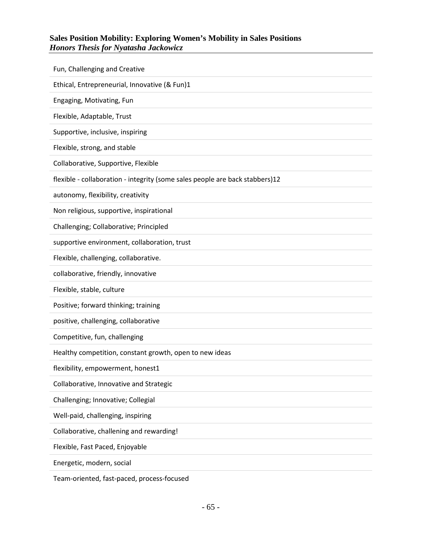| Fun, Challenging and Creative                                                |
|------------------------------------------------------------------------------|
| Ethical, Entrepreneurial, Innovative (& Fun)1                                |
| Engaging, Motivating, Fun                                                    |
| Flexible, Adaptable, Trust                                                   |
| Supportive, inclusive, inspiring                                             |
| Flexible, strong, and stable                                                 |
| Collaborative, Supportive, Flexible                                          |
| flexible - collaboration - integrity (some sales people are back stabbers)12 |
| autonomy, flexibility, creativity                                            |
| Non religious, supportive, inspirational                                     |
| Challenging; Collaborative; Principled                                       |
| supportive environment, collaboration, trust                                 |
| Flexible, challenging, collaborative.                                        |
| collaborative, friendly, innovative                                          |
| Flexible, stable, culture                                                    |
| Positive; forward thinking; training                                         |
| positive, challenging, collaborative                                         |
| Competitive, fun, challenging                                                |
| Healthy competition, constant growth, open to new ideas                      |
| flexibility, empowerment, honest1                                            |
| Collaborative, Innovative and Strategic                                      |
| Challenging; Innovative; Collegial                                           |
| Well-paid, challenging, inspiring                                            |
| Collaborative, challening and rewarding!                                     |
| Flexible, Fast Paced, Enjoyable                                              |
| Energetic, modern, social                                                    |

Team-oriented, fast-paced, process-focused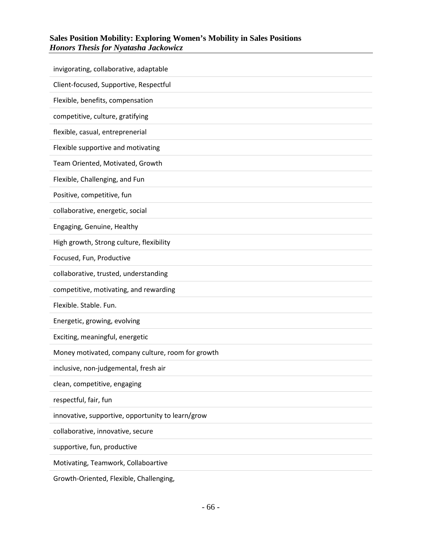| invigorating, collaborative, adaptable            |
|---------------------------------------------------|
| Client-focused, Supportive, Respectful            |
| Flexible, benefits, compensation                  |
| competitive, culture, gratifying                  |
| flexible, casual, entreprenerial                  |
| Flexible supportive and motivating                |
| Team Oriented, Motivated, Growth                  |
| Flexible, Challenging, and Fun                    |
| Positive, competitive, fun                        |
| collaborative, energetic, social                  |
| Engaging, Genuine, Healthy                        |
| High growth, Strong culture, flexibility          |
| Focused, Fun, Productive                          |
|                                                   |
| collaborative, trusted, understanding             |
| competitive, motivating, and rewarding            |
| Flexible. Stable. Fun.                            |
| Energetic, growing, evolving                      |
| Exciting, meaningful, energetic                   |
| Money motivated, company culture, room for growth |
| inclusive, non-judgemental, fresh air             |
| clean, competitive, engaging                      |
| respectful, fair, fun                             |
| innovative, supportive, opportunity to learn/grow |
| collaborative, innovative, secure                 |
| supportive, fun, productive                       |

Growth-Oriented, Flexible, Challenging,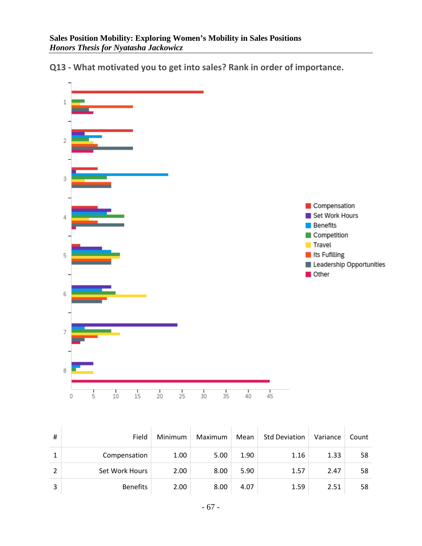**Q13 - What motivated you to get into sales? Rank in order of importance.**



| #              | Field           | Minimum | Maximum | Mean | <b>Std Deviation</b> | Variance | Count |
|----------------|-----------------|---------|---------|------|----------------------|----------|-------|
| J.             | Compensation    | 1.00    | 5.00    | 1.90 | 1.16                 | 1.33     | 58    |
| $\mathfrak{p}$ | Set Work Hours  | 2.00    | 8.00    | 5.90 | 1.57                 | 2.47     | 58    |
| 3              | <b>Benefits</b> | 2.00    | 8.00    | 4.07 | 1.59                 | 2.51     | 58    |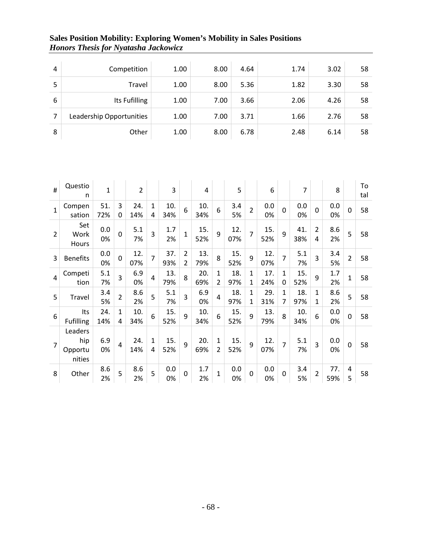| 4 | Competition              | 1.00 | 8.00 | 4.64 | 1.74 | 3.02 | 58 |
|---|--------------------------|------|------|------|------|------|----|
| 5 | Travel                   | 1.00 | 8.00 | 5.36 | 1.82 | 3.30 | 58 |
| 6 | Its Fufilling            | 1.00 | 7.00 | 3.66 | 2.06 | 4.26 | 58 |
| 7 | Leadership Opportunities | 1.00 | 7.00 | 3.71 | 1.66 | 2.76 | 58 |
| 8 | Other                    | 1.00 | 8.00 | 6.78 | 2.48 | 6.14 | 58 |

| #              | Questio<br>n                        | $\mathbf{1}$ |                | $\overline{2}$ |                   | 3          |                                  | 4          |                                | 5          |                              | 6          |                   | 7          |                              | 8          |                | To<br>tal |
|----------------|-------------------------------------|--------------|----------------|----------------|-------------------|------------|----------------------------------|------------|--------------------------------|------------|------------------------------|------------|-------------------|------------|------------------------------|------------|----------------|-----------|
| $\mathbf{1}$   | Compen<br>sation                    | 51.<br>72%   | 3<br>0         | 24.<br>14%     | 1<br>4            | 10.<br>34% | 6                                | 10.<br>34% | 6                              | 3.4<br>5%  | $\overline{2}$               | 0.0<br>0%  | $\overline{0}$    | 0.0<br>0%  | $\mathbf 0$                  | 0.0<br>0%  | $\overline{0}$ | 58        |
| $\overline{2}$ | Set<br>Work<br>Hours                | 0.0<br>0%    | $\overline{0}$ | 5.1<br>7%      | 3                 | 1.7<br>2%  | $\mathbf{1}$                     | 15.<br>52% | 9                              | 12.<br>07% | $\overline{7}$               | 15.<br>52% | 9                 | 41.<br>38% | $\overline{2}$<br>4          | 8.6<br>2%  | 5              | 58        |
| 3              | <b>Benefits</b>                     | 0.0<br>0%    | 0              | 12.<br>07%     | $\overline{7}$    | 37.<br>93% | $\overline{2}$<br>$\overline{2}$ | 13.<br>79% | 8                              | 15.<br>52% | 9                            | 12.<br>07% | $\overline{7}$    | 5.1<br>7%  | 3                            | 3.4<br>5%  | $\overline{2}$ | 58        |
| $\overline{4}$ | Competi<br>tion                     | 5.1<br>7%    | 3              | 6.9<br>0%      | 4                 | 13.<br>79% | 8                                | 20.<br>69% | 1<br>$\overline{2}$            | 18.<br>97% | $\mathbf{1}$<br>1            | 17.<br>24% | $\mathbf{1}$<br>0 | 15.<br>52% | 9                            | 1.7<br>2%  | $\overline{1}$ | 58        |
| 5              | Travel                              | 3.4<br>5%    | $\overline{2}$ | 8.6<br>2%      | 5                 | 5.1<br>7%  | 3                                | 6.9<br>0%  | 4                              | 18.<br>97% | $\mathbf{1}$<br>$\mathbf{1}$ | 29.<br>31% | $\mathbf{1}$<br>7 | 18.<br>97% | $\mathbf{1}$<br>$\mathbf{1}$ | 8.6<br>2%  | 5              | 58        |
| 6              | Its<br><b>Fufilling</b>             | 24.<br>14%   | 1<br>4         | 10.<br>34%     | 6                 | 15.<br>52% | 9                                | 10.<br>34% | 6                              | 15.<br>52% | 9                            | 13.<br>79% | 8                 | 10.<br>34% | 6                            | 0.0<br>0%  | $\overline{0}$ | 58        |
| $\overline{7}$ | Leaders<br>hip<br>Opportu<br>nities | 6.9<br>0%    | 4              | 24.<br>14%     | $\mathbf{1}$<br>4 | 15.<br>52% | 9                                | 20.<br>69% | $\mathbf{1}$<br>$\overline{2}$ | 15.<br>52% | 9                            | 12.<br>07% | $\overline{7}$    | 5.1<br>7%  | 3                            | 0.0<br>0%  | 0              | 58        |
| 8              | Other                               | 8.6<br>2%    | 5              | 8.6<br>2%      | 5                 | 0.0<br>0%  | $\Omega$                         | 1.7<br>2%  | $\mathbf{1}$                   | 0.0<br>0%  | $\mathbf 0$                  | 0.0<br>0%  | $\mathbf 0$       | 3.4<br>5%  | $\overline{2}$               | 77.<br>59% | 4<br>5         | 58        |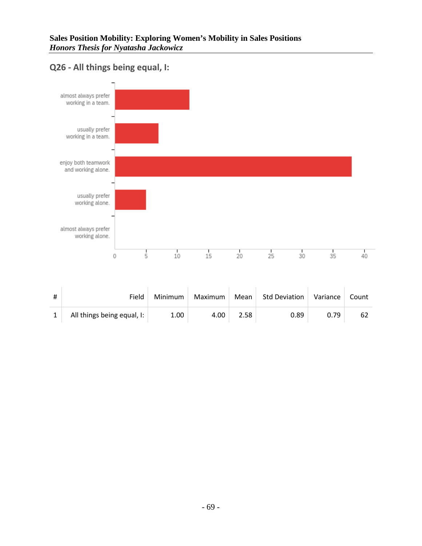### **Q26 - All things being equal, I:**



| Field                        | Minimum | Maximum | Mean | Std Deviation | Variance | Count |
|------------------------------|---------|---------|------|---------------|----------|-------|
| All things being equal, $I:$ | 1.00    | 4.00    | 2.58 | 0.89          | 0.79     | 62    |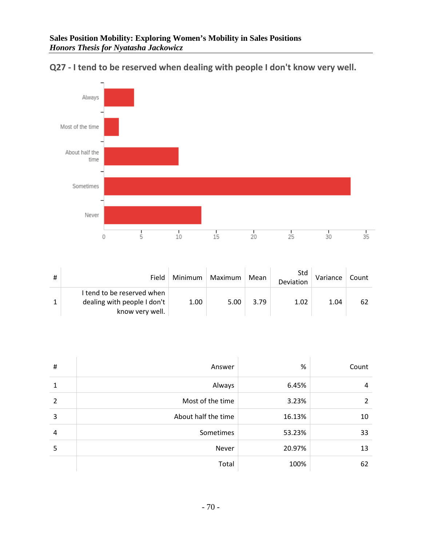

**Q27 - I tend to be reserved when dealing with people I don't know very well.**

| Field                                                                        | Minimum | Maximum | Mean | Std<br>Deviation | Variance | Count |
|------------------------------------------------------------------------------|---------|---------|------|------------------|----------|-------|
| I tend to be reserved when<br>dealing with people I don't<br>know very well. | 1.00    | 5.00    | 3.79 | 1.02             | 1.04     | 62    |

| #              | Answer              | %      | Count |
|----------------|---------------------|--------|-------|
| 1              | Always              | 6.45%  | 4     |
| $\mathfrak{p}$ | Most of the time    | 3.23%  | 2     |
| 3              | About half the time | 16.13% | 10    |
| 4              | Sometimes           | 53.23% | 33    |
| 5              | Never               | 20.97% | 13    |
|                | Total               | 100%   | 62    |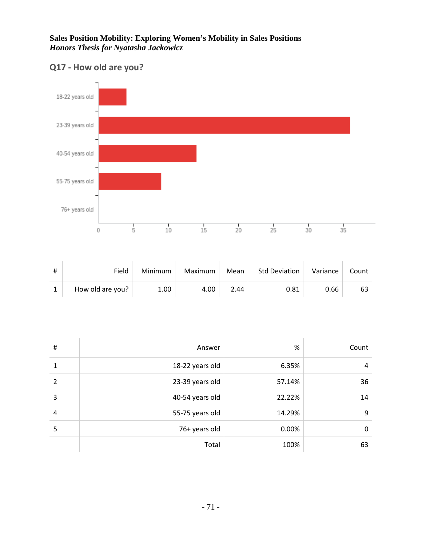### **Q17 - How old are you?**



| # | Field            | Minimum | Maximum | Mean | <b>Std Deviation</b> | Variance | Count |
|---|------------------|---------|---------|------|----------------------|----------|-------|
|   | How old are you? | 1.00    | 4.00    | 2.44 | 0.81                 | 0.66     | 63    |

| # | Answer          | %      | Count |
|---|-----------------|--------|-------|
| 1 | 18-22 years old | 6.35%  | 4     |
| 2 | 23-39 years old | 57.14% | 36    |
| 3 | 40-54 years old | 22.22% | 14    |
| 4 | 55-75 years old | 14.29% | 9     |
| 5 | 76+ years old   | 0.00%  | 0     |
|   | Total           | 100%   | 63    |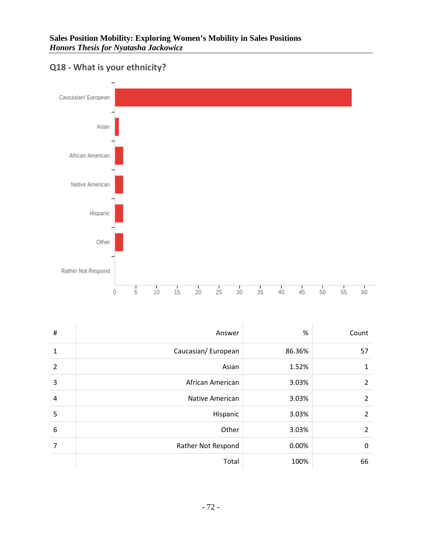

# **Q18 - What is your ethnicity?**

| $\sharp$       | Answer                 | %      | Count          |
|----------------|------------------------|--------|----------------|
| 1              | Caucasian/European     | 86.36% | 57             |
| $\overline{2}$ | Asian                  | 1.52%  | 1              |
| 3              | African American       | 3.03%  | 2              |
| 4              | <b>Native American</b> | 3.03%  | $\overline{2}$ |
| 5              | Hispanic               | 3.03%  | $\overline{2}$ |
| 6              | Other                  | 3.03%  | $\overline{2}$ |
| 7              | Rather Not Respond     | 0.00%  | 0              |
|                | Total                  | 100%   | 66             |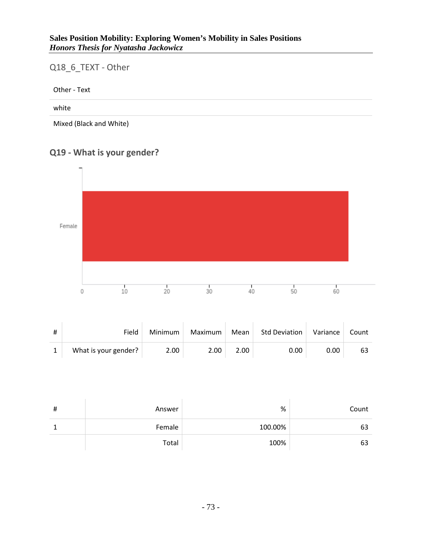### **Sales Position Mobility: Exploring Women's Mobility in Sales Positions** *Honors Thesis for Nyatasha Jackowicz*

## Q18\_6\_TEXT - Other

Other - Text

#### white

Mixed (Black and White)

# **Q19 - What is your gender?**



| # | Field                | Minimum | Maximum | Mean | <b>Std Deviation</b> | Variance | Count |
|---|----------------------|---------|---------|------|----------------------|----------|-------|
|   | What is your gender? | 2.00    | 2.00    | 2.00 | 0.00                 | 0.00     | 63    |

| # | Answer | %       | Count |
|---|--------|---------|-------|
|   | Female | 100.00% | 63    |
|   | Total  | 100%    | 63    |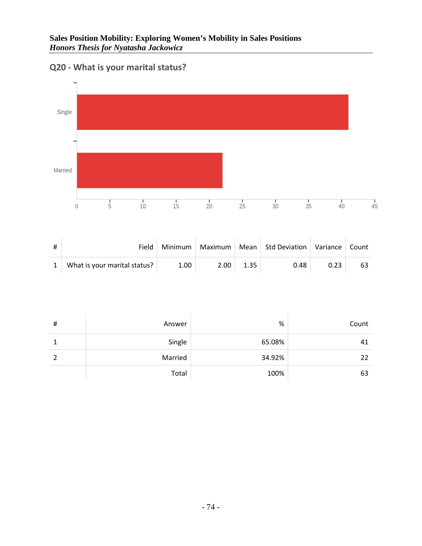

# **Q20 - What is your marital status?**

| Field                        | Minimum | Maximum           |      | Mean   Std Deviation   Variance |      | Count |
|------------------------------|---------|-------------------|------|---------------------------------|------|-------|
| What is your marital status? | 1.00    | 2.00 <sub>1</sub> | 1.35 | 0.48                            | 0.23 | 63    |

| # | Answer  | $\%$   | Count |
|---|---------|--------|-------|
|   | Single  | 65.08% | 41    |
| ว | Married | 34.92% | 22    |
|   | Total   | 100%   | 63    |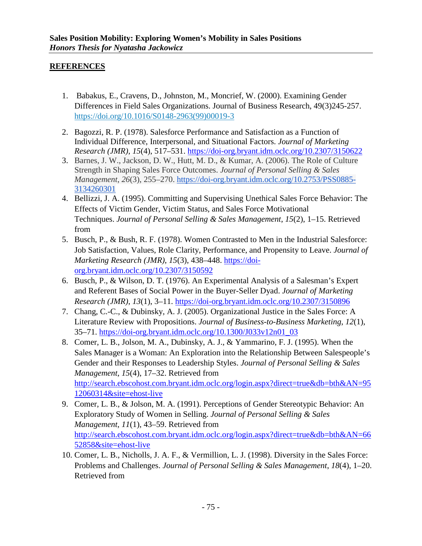### **REFERENCES**

- 1. Babakus, E., Cravens, D., Johnston, M., Moncrief, W. (2000). Examining Gender Differences in Field Sales Organizations. Journal of Business Research, 49(3)245-257. [https://doi.org/10.1016/S0148-2963\(99\)00019-3](https://doi-org.bryant.idm.oclc.org/10.1016/S0148-2963(99)00019-3)
- 2. Bagozzi, R. P. (1978). Salesforce Performance and Satisfaction as a Function of Individual Difference, Interpersonal, and Situational Factors. *Journal of Marketing Research (JMR)*, *15*(4), 517–531.<https://doi-org.bryant.idm.oclc.org/10.2307/3150622>
- 3. Barnes, J. W., Jackson, D. W., Hutt, M. D., & Kumar, A. (2006). The Role of Culture Strength in Shaping Sales Force Outcomes. *Journal of Personal Selling & Sales Management*, *26*(3), 255–270. [https://doi-org.bryant.idm.oclc.org/10.2753/PSS0885-](https://doi-org.bryant.idm.oclc.org/10.2753/PSS0885-3134260301) [3134260301](https://doi-org.bryant.idm.oclc.org/10.2753/PSS0885-3134260301)
- 4. Bellizzi, J. A. (1995). Committing and Supervising Unethical Sales Force Behavior: The Effects of Victim Gender, Victim Status, and Sales Force Motivational Techniques. *Journal of Personal Selling & Sales Management*, *15*(2), 1–15. Retrieved from
- 5. Busch, P., & Bush, R. F. (1978). Women Contrasted to Men in the Industrial Salesforce: Job Satisfaction, Values, Role Clarity, Performance, and Propensity to Leave. *Journal of Marketing Research (JMR)*, *15*(3), 438–448. [https://doi](https://doi-org.bryant.idm.oclc.org/10.2307/3150592)[org.bryant.idm.oclc.org/10.2307/3150592](https://doi-org.bryant.idm.oclc.org/10.2307/3150592)
- 6. Busch, P., & Wilson, D. T. (1976). An Experimental Analysis of a Salesman's Expert and Referent Bases of Social Power in the Buyer-Seller Dyad. *Journal of Marketing Research (JMR)*, *13*(1), 3–11.<https://doi-org.bryant.idm.oclc.org/10.2307/3150896>
- 7. Chang, C.-C., & Dubinsky, A. J. (2005). Organizational Justice in the Sales Force: A Literature Review with Propositions. *Journal of Business-to-Business Marketing*, *12*(1), 35–71. [https://doi-org.bryant.idm.oclc.org/10.1300/J033v12n01\\_03](https://doi-org.bryant.idm.oclc.org/10.1300/J033v12n01_03)
- 8. Comer, L. B., Jolson, M. A., Dubinsky, A. J., & Yammarino, F. J. (1995). When the Sales Manager is a Woman: An Exploration into the Relationship Between Salespeople's Gender and their Responses to Leadership Styles. *Journal of Personal Selling & Sales Management*, *15*(4), 17–32. Retrieved from [http://search.ebscohost.com.bryant.idm.oclc.org/login.aspx?direct=true&db=bth&AN=95](http://search.ebscohost.com.bryant.idm.oclc.org/login.aspx?direct=true&db=bth&AN=9512060314&site=ehost-live) [12060314&site=ehost-live](http://search.ebscohost.com.bryant.idm.oclc.org/login.aspx?direct=true&db=bth&AN=9512060314&site=ehost-live)
- 9. Comer, L. B., & Jolson, M. A. (1991). Perceptions of Gender Stereotypic Behavior: An Exploratory Study of Women in Selling. *Journal of Personal Selling & Sales Management*, *11*(1), 43–59. Retrieved from [http://search.ebscohost.com.bryant.idm.oclc.org/login.aspx?direct=true&db=bth&AN=66](http://search.ebscohost.com.bryant.idm.oclc.org/login.aspx?direct=true&db=bth&AN=6652858&site=ehost-live) [52858&site=ehost-live](http://search.ebscohost.com.bryant.idm.oclc.org/login.aspx?direct=true&db=bth&AN=6652858&site=ehost-live)
- 10. Comer, L. B., Nicholls, J. A. F., & Vermillion, L. J. (1998). Diversity in the Sales Force: Problems and Challenges. *Journal of Personal Selling & Sales Management*, *18*(4), 1–20. Retrieved from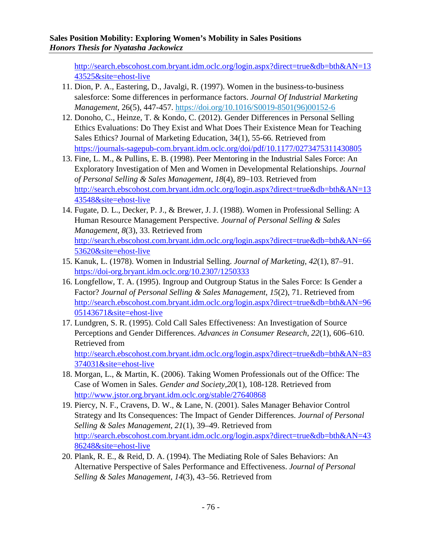[http://search.ebscohost.com.bryant.idm.oclc.org/login.aspx?direct=true&db=bth&AN=13](http://search.ebscohost.com.bryant.idm.oclc.org/login.aspx?direct=true&db=bth&AN=1343525&site=ehost-live) [43525&site=ehost-live](http://search.ebscohost.com.bryant.idm.oclc.org/login.aspx?direct=true&db=bth&AN=1343525&site=ehost-live)

- 11. Dion, P. A., Eastering, D., Javalgi, R. (1997). Women in the business-to-business salesforce: Some differences in performance factors. *Journal Of Industrial Marketing Management*, 26(5), 447-457. [https://doi.org/10.1016/S0019-8501\(96\)00152-6](https://doi-org.bryant.idm.oclc.org/10.1016/S0019-8501(96)00152-6)
- 12. Donoho, C., Heinze, T. & Kondo, C. (2012). Gender Differences in Personal Selling Ethics Evaluations: Do They Exist and What Does Their Existence Mean for Teaching Sales Ethics? Journal of Marketing Education, 34(1), 55-66. Retrieved from <https://journals-sagepub-com.bryant.idm.oclc.org/doi/pdf/10.1177/0273475311430805>
- 13. Fine, L. M., & Pullins, E. B. (1998). Peer Mentoring in the Industrial Sales Force: An Exploratory Investigation of Men and Women in Developmental Relationships. *Journal of Personal Selling & Sales Management*, *18*(4), 89–103. Retrieved from [http://search.ebscohost.com.bryant.idm.oclc.org/login.aspx?direct=true&db=bth&AN=13](http://search.ebscohost.com.bryant.idm.oclc.org/login.aspx?direct=true&db=bth&AN=1343548&site=ehost-live) [43548&site=ehost-live](http://search.ebscohost.com.bryant.idm.oclc.org/login.aspx?direct=true&db=bth&AN=1343548&site=ehost-live)
- 14. Fugate, D. L., Decker, P. J., & Brewer, J. J. (1988). Women in Professional Selling: A Human Resource Management Perspective. *Journal of Personal Selling & Sales Management*, *8*(3), 33. Retrieved from [http://search.ebscohost.com.bryant.idm.oclc.org/login.aspx?direct=true&db=bth&AN=66](http://search.ebscohost.com.bryant.idm.oclc.org/login.aspx?direct=true&db=bth&AN=6653620&site=ehost-live) [53620&site=ehost-live](http://search.ebscohost.com.bryant.idm.oclc.org/login.aspx?direct=true&db=bth&AN=6653620&site=ehost-live)
- 15. Kanuk, L. (1978). Women in Industrial Selling. *Journal of Marketing*, *42*(1), 87–91. <https://doi-org.bryant.idm.oclc.org/10.2307/1250333>
- 16. Longfellow, T. A. (1995). Ingroup and Outgroup Status in the Sales Force: Is Gender a Factor? *Journal of Personal Selling & Sales Management*, *15*(2), 71. Retrieved from [http://search.ebscohost.com.bryant.idm.oclc.org/login.aspx?direct=true&db=bth&AN=96](http://search.ebscohost.com.bryant.idm.oclc.org/login.aspx?direct=true&db=bth&AN=9605143671&site=ehost-live) [05143671&site=ehost-live](http://search.ebscohost.com.bryant.idm.oclc.org/login.aspx?direct=true&db=bth&AN=9605143671&site=ehost-live)
- 17. Lundgren, S. R. (1995). Cold Call Sales Effectiveness: An Investigation of Source Perceptions and Gender Differences. *Advances in Consumer Research*, *22*(1), 606–610. Retrieved from [http://search.ebscohost.com.bryant.idm.oclc.org/login.aspx?direct=true&db=bth&AN=83](http://search.ebscohost.com.bryant.idm.oclc.org/login.aspx?direct=true&db=bth&AN=83374031&site=ehost-live) [374031&site=ehost-live](http://search.ebscohost.com.bryant.idm.oclc.org/login.aspx?direct=true&db=bth&AN=83374031&site=ehost-live)
- 18. Morgan, L., & Martin, K. (2006). Taking Women Professionals out of the Office: The Case of Women in Sales. *Gender and Society,20*(1), 108-128. Retrieved from <http://www.jstor.org.bryant.idm.oclc.org/stable/27640868>
- 19. Piercy, N. F., Cravens, D. W., & Lane, N. (2001). Sales Manager Behavior Control Strategy and Its Consequences: The Impact of Gender Differences. *Journal of Personal Selling & Sales Management*, *21*(1), 39–49. Retrieved from [http://search.ebscohost.com.bryant.idm.oclc.org/login.aspx?direct=true&db=bth&AN=43](http://search.ebscohost.com.bryant.idm.oclc.org/login.aspx?direct=true&db=bth&AN=4386248&site=ehost-live) [86248&site=ehost-live](http://search.ebscohost.com.bryant.idm.oclc.org/login.aspx?direct=true&db=bth&AN=4386248&site=ehost-live)
- 20. Plank, R. E., & Reid, D. A. (1994). The Mediating Role of Sales Behaviors: An Alternative Perspective of Sales Performance and Effectiveness. *Journal of Personal Selling & Sales Management*, *14*(3), 43–56. Retrieved from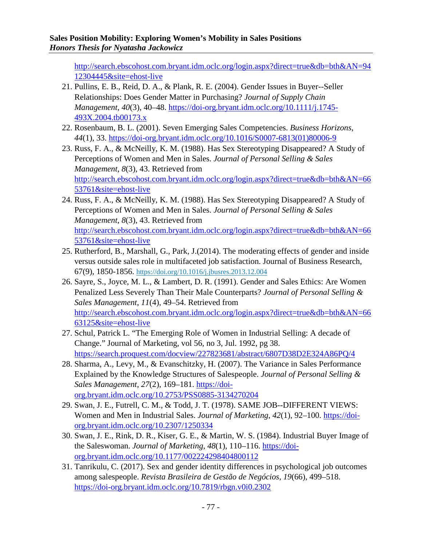[http://search.ebscohost.com.bryant.idm.oclc.org/login.aspx?direct=true&db=bth&AN=94](http://search.ebscohost.com.bryant.idm.oclc.org/login.aspx?direct=true&db=bth&AN=9412304445&site=ehost-live) [12304445&site=ehost-live](http://search.ebscohost.com.bryant.idm.oclc.org/login.aspx?direct=true&db=bth&AN=9412304445&site=ehost-live)

- 21. Pullins, E. B., Reid, D. A., & Plank, R. E. (2004). Gender Issues in Buyer--Seller Relationships: Does Gender Matter in Purchasing? *Journal of Supply Chain Management*, *40*(3), 40–48. [https://doi-org.bryant.idm.oclc.org/10.1111/j.1745-](https://doi-org.bryant.idm.oclc.org/10.1111/j.1745-493X.2004.tb00173.x) [493X.2004.tb00173.x](https://doi-org.bryant.idm.oclc.org/10.1111/j.1745-493X.2004.tb00173.x)
- 22. Rosenbaum, B. L. (2001). Seven Emerging Sales Competencies. *Business Horizons*, *44*(1), 33. [https://doi-org.bryant.idm.oclc.org/10.1016/S0007-6813\(01\)80006-9](https://doi-org.bryant.idm.oclc.org/10.1016/S0007-6813(01)80006-9)
- 23. Russ, F. A., & McNeilly, K. M. (1988). Has Sex Stereotyping Disappeared? A Study of Perceptions of Women and Men in Sales. *Journal of Personal Selling & Sales Management*, *8*(3), 43. Retrieved from [http://search.ebscohost.com.bryant.idm.oclc.org/login.aspx?direct=true&db=bth&AN=66](http://search.ebscohost.com.bryant.idm.oclc.org/login.aspx?direct=true&db=bth&AN=6653761&site=ehost-live) [53761&site=ehost-live](http://search.ebscohost.com.bryant.idm.oclc.org/login.aspx?direct=true&db=bth&AN=6653761&site=ehost-live)
- 24. Russ, F. A., & McNeilly, K. M. (1988). Has Sex Stereotyping Disappeared? A Study of Perceptions of Women and Men in Sales. *Journal of Personal Selling & Sales Management*, *8*(3), 43. Retrieved from [http://search.ebscohost.com.bryant.idm.oclc.org/login.aspx?direct=true&db=bth&AN=66](http://search.ebscohost.com.bryant.idm.oclc.org/login.aspx?direct=true&db=bth&AN=6653761&site=ehost-live) [53761&site=ehost-live](http://search.ebscohost.com.bryant.idm.oclc.org/login.aspx?direct=true&db=bth&AN=6653761&site=ehost-live)
- 25. Rutherford, B., Marshall, G., Park, J.(2014). The moderating effects of gender and inside versus outside sales role in multifaceted job satisfaction. Journal of Business Research, 67(9), 1850-1856. [https://doi.org/10.1016/j.jbusres.2013.12.004](https://doi-org.bryant.idm.oclc.org/10.1016/j.jbusres.2013.12.004)
- 26. Sayre, S., Joyce, M. L., & Lambert, D. R. (1991). Gender and Sales Ethics: Are Women Penalized Less Severely Than Their Male Counterparts? *Journal of Personal Selling & Sales Management*, *11*(4), 49–54. Retrieved from [http://search.ebscohost.com.bryant.idm.oclc.org/login.aspx?direct=true&db=bth&AN=66](http://search.ebscohost.com.bryant.idm.oclc.org/login.aspx?direct=true&db=bth&AN=6663125&site=ehost-live) [63125&site=ehost-live](http://search.ebscohost.com.bryant.idm.oclc.org/login.aspx?direct=true&db=bth&AN=6663125&site=ehost-live)
- 27. Schul, Patrick L. "The Emerging Role of Women in Industrial Selling: A decade of Change." Journal of Marketing, vol 56, no 3, Jul. 1992, pg 38. <https://search.proquest.com/docview/227823681/abstract/6807D38D2E324A86PQ/4>
- 28. Sharma, A., Levy, M., & Evanschitzky, H. (2007). The Variance in Sales Performance Explained by the Knowledge Structures of Salespeople. *Journal of Personal Selling & Sales Management*, *27*(2), 169–181. [https://doi](https://doi-org.bryant.idm.oclc.org/10.2753/PSS0885-3134270204)[org.bryant.idm.oclc.org/10.2753/PSS0885-3134270204](https://doi-org.bryant.idm.oclc.org/10.2753/PSS0885-3134270204)
- 29. Swan, J. E., Futrell, C. M., & Todd, J. T. (1978). SAME JOB--DIFFERENT VIEWS: Women and Men in Industrial Sales. *Journal of Marketing*, *42*(1), 92–100. [https://doi](https://doi-org.bryant.idm.oclc.org/10.2307/1250334)[org.bryant.idm.oclc.org/10.2307/1250334](https://doi-org.bryant.idm.oclc.org/10.2307/1250334)
- 30. Swan, J. E., Rink, D. R., Kiser, G. E., & Martin, W. S. (1984). Industrial Buyer Image of the Saleswoman. *Journal of Marketing*, 48(1), 110-116. [https://doi](https://doi-org.bryant.idm.oclc.org/10.1177/002224298404800112)[org.bryant.idm.oclc.org/10.1177/002224298404800112](https://doi-org.bryant.idm.oclc.org/10.1177/002224298404800112)
- 31. Tanrikulu, C. (2017). Sex and gender identity differences in psychological job outcomes among salespeople. *Revista Brasileira de Gestão de Negócios*, *19*(66), 499–518. <https://doi-org.bryant.idm.oclc.org/10.7819/rbgn.v0i0.2302>